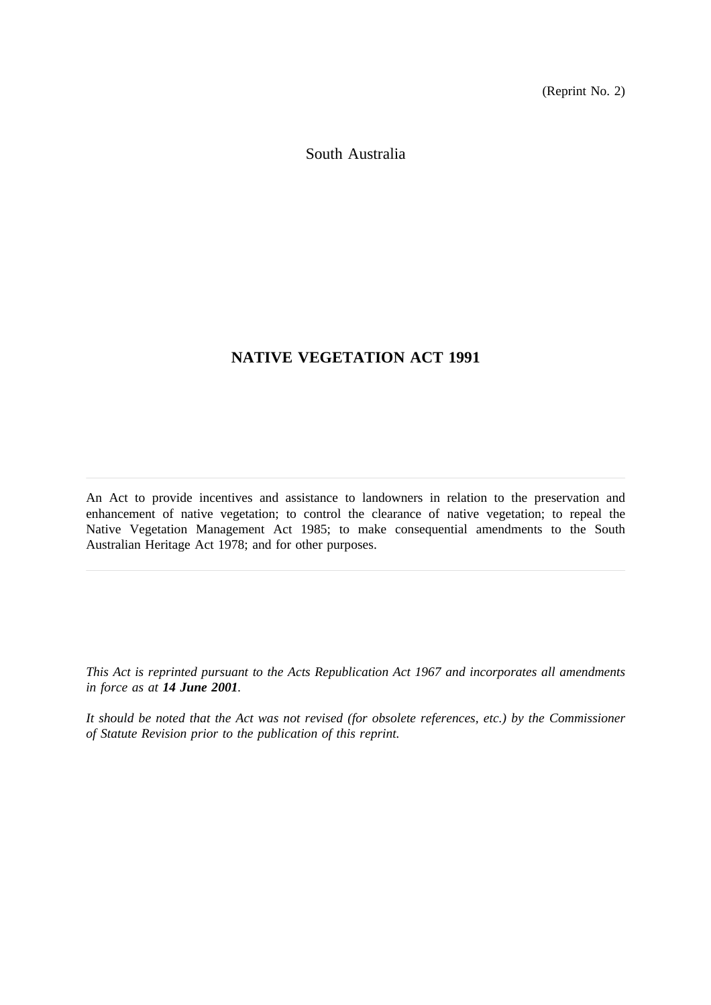(Reprint No. 2)

South Australia

# **NATIVE VEGETATION ACT 1991**

An Act to provide incentives and assistance to landowners in relation to the preservation and enhancement of native vegetation; to control the clearance of native vegetation; to repeal the Native Vegetation Management Act 1985; to make consequential amendments to the South Australian Heritage Act 1978; and for other purposes.

*This Act is reprinted pursuant to the Acts Republication Act 1967 and incorporates all amendments in force as at 14 June 2001.*

*It should be noted that the Act was not revised (for obsolete references, etc.) by the Commissioner of Statute Revision prior to the publication of this reprint.*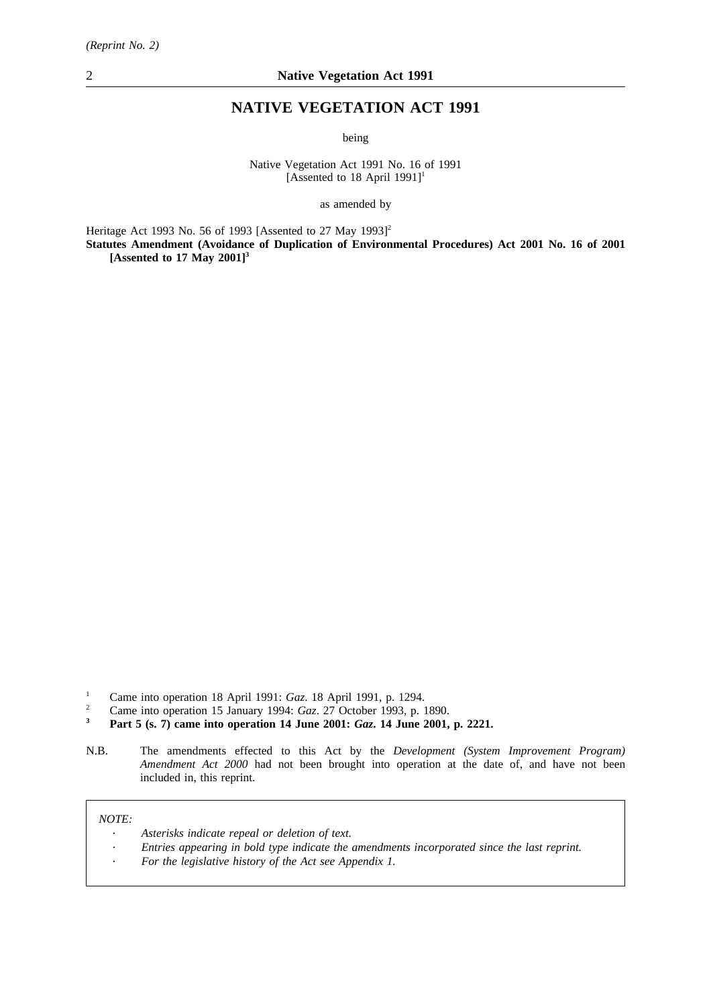## **NATIVE VEGETATION ACT 1991**

being

Native Vegetation Act 1991 No. 16 of 1991 [Assented to 18 April 1991]<sup>1</sup>

as amended by

Heritage Act 1993 No. 56 of 1993 [Assented to 27 May 1993]<sup>2</sup> **Statutes Amendment (Avoidance of Duplication of Environmental Procedures) Act 2001 No. 16 of 2001 [Assented to 17 May 2001]3**

- <sup>2</sup> Came into operation 15 January 1994: *Gaz.* 27 October 1993, p. 1890.<br>**2001:** *Gaz.* 14 June 2001
- **<sup>3</sup> Part 5 (s. 7) came into operation 14 June 2001:** *Gaz***. 14 June 2001, p. 2221.**
- N.B. The amendments effected to this Act by the *Development (System Improvement Program) Amendment Act 2000* had not been brought into operation at the date of, and have not been included in, this reprint.

*NOTE:*

- *Asterisks indicate repeal or deletion of text.*
- *Entries appearing in bold type indicate the amendments incorporated since the last reprint.*
- *For the legislative history of the Act see Appendix 1.*

<sup>&</sup>lt;sup>1</sup> Came into operation 18 April 1991: *Gaz*. 18 April 1991, p. 1294.<br><sup>2</sup> Came into operation 15 January 1994: *Gaz*. 27 October 1993, p. 1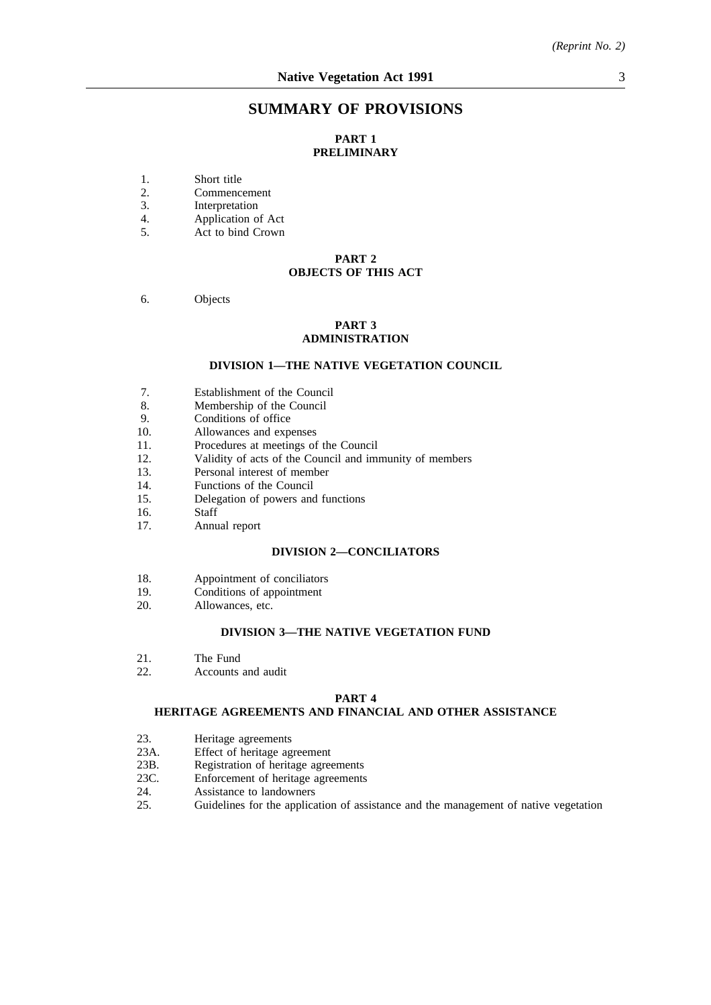## **SUMMARY OF PROVISIONS**

## **PART 1 PRELIMINARY**

- 1. Short title<br>2. Commence
- 2. Commencement<br>3. Interpretation
- 3. Interpretation<br>4. Application of
- 4. Application of Act<br>5. Act to bind Crown
- Act to bind Crown

### **PART 2 OBJECTS OF THIS ACT**

#### 6. Objects

### **PART 3 ADMINISTRATION**

### **DIVISION 1—THE NATIVE VEGETATION COUNCIL**

- 7. Establishment of the Council
- 8. Membership of the Council
- 9. Conditions of office
- 10. Allowances and expenses
- 11. Procedures at meetings of the Council
- 12. Validity of acts of the Council and immunity of members
- 13. Personal interest of member
- 14. Functions of the Council
- 15. Delegation of powers and functions
- 16. Staff
- 17. Annual report

#### **DIVISION 2—CONCILIATORS**

- 18. Appointment of conciliators
- 19. Conditions of appointment
- 20. Allowances, etc.

#### **DIVISION 3—THE NATIVE VEGETATION FUND**

- 21. The Fund<br>22. Accounts
- Accounts and audit

#### **PART 4**

### **HERITAGE AGREEMENTS AND FINANCIAL AND OTHER ASSISTANCE**

- 23. Heritage agreements<br>23A. Effect of heritage ag
- 23A. Effect of heritage agreement<br>23B. Registration of heritage agree
- 23B. Registration of heritage agreements<br>23C. Enforcement of heritage agreements
- 23C. Enforcement of heritage agreements<br>24. Assistance to landowners
- 24. Assistance to landowners<br>25. Guidelines for the applica
- Guidelines for the application of assistance and the management of native vegetation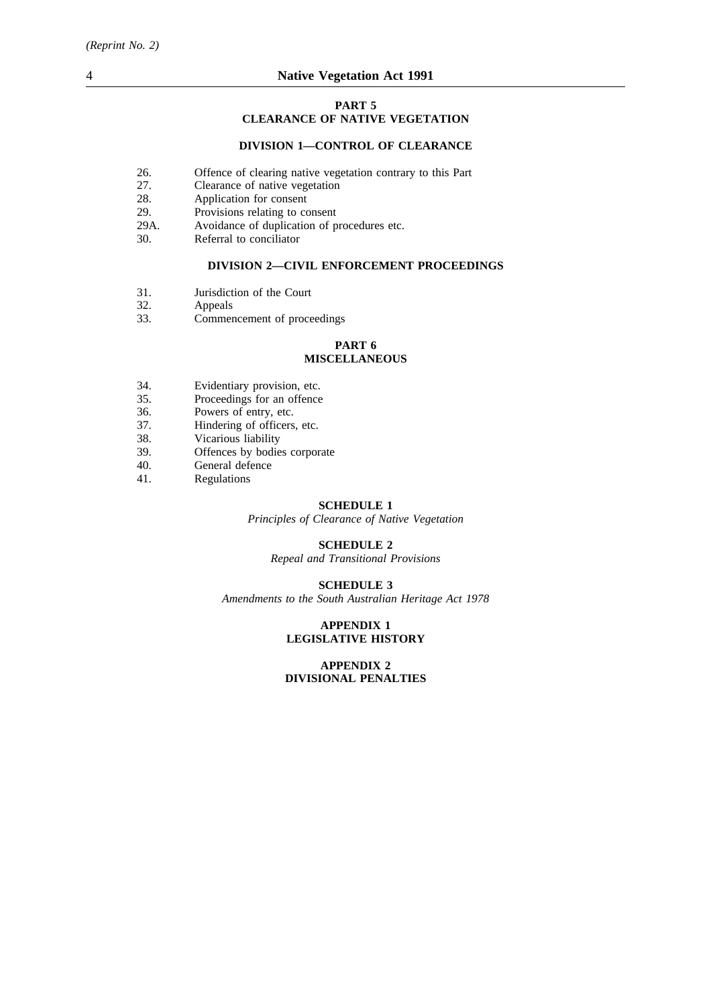### **PART 5 CLEARANCE OF NATIVE VEGETATION**

### **DIVISION 1—CONTROL OF CLEARANCE**

- 26. Offence of clearing native vegetation contrary to this Part
- 27. Clearance of native vegetation
- 28. Application for consent
- 
- 29. Provisions relating to consent<br>29A. Avoidance of duplication of p Avoidance of duplication of procedures etc.
- 30. Referral to conciliator

#### **DIVISION 2—CIVIL ENFORCEMENT PROCEEDINGS**

- 31. Jurisdiction of the Court
- 32. Appeals
- 33. Commencement of proceedings

### **PART 6 MISCELLANEOUS**

- 34. Evidentiary provision, etc.<br>35. Proceedings for an offence
- Proceedings for an offence
- 36. Powers of entry, etc.
- 37. Hindering of officers, etc.
- 38. Vicarious liability
- 39. Offences by bodies corporate
- 40. General defence<br>41. Regulations
- **Regulations**

#### **SCHEDULE 1**

*Principles of Clearance of Native Vegetation*

#### **SCHEDULE 2**

*Repeal and Transitional Provisions*

#### **SCHEDULE 3**

*Amendments to the South Australian Heritage Act 1978*

### **APPENDIX 1 LEGISLATIVE HISTORY**

### **APPENDIX 2 DIVISIONAL PENALTIES**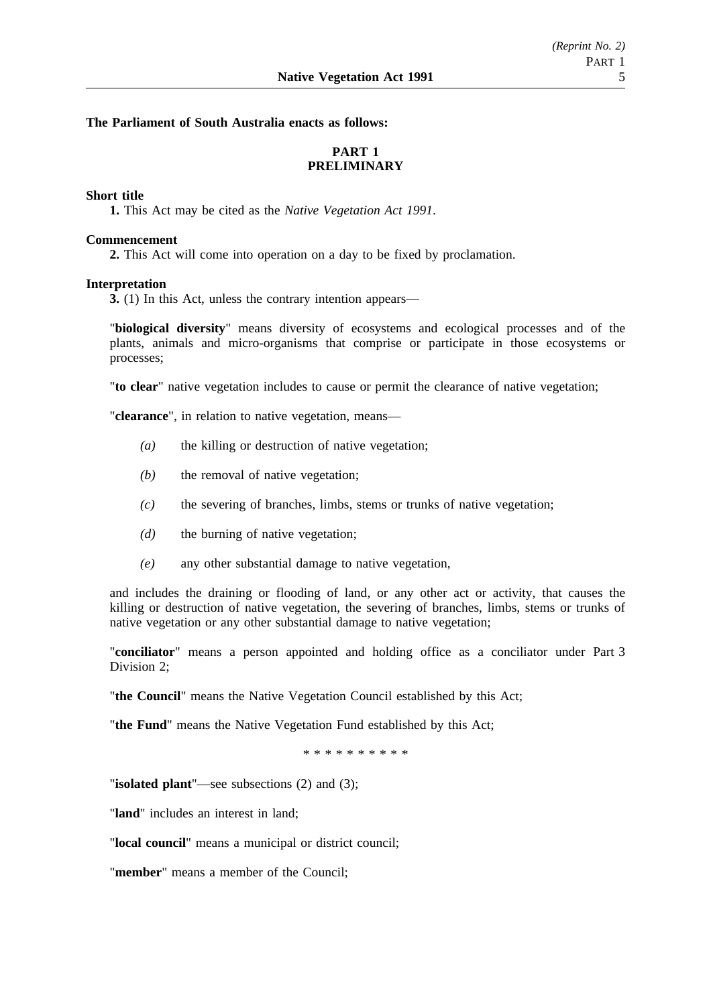### **The Parliament of South Australia enacts as follows:**

## **PART 1 PRELIMINARY**

### **Short title**

**1.** This Act may be cited as the *Native Vegetation Act 1991*.

### **Commencement**

**2.** This Act will come into operation on a day to be fixed by proclamation.

### **Interpretation**

**3.** (1) In this Act, unless the contrary intention appears—

"**biological diversity**" means diversity of ecosystems and ecological processes and of the plants, animals and micro-organisms that comprise or participate in those ecosystems or processes;

"**to clear**" native vegetation includes to cause or permit the clearance of native vegetation;

"**clearance**", in relation to native vegetation, means—

- *(a)* the killing or destruction of native vegetation;
- *(b)* the removal of native vegetation;
- *(c)* the severing of branches, limbs, stems or trunks of native vegetation;
- *(d)* the burning of native vegetation;
- *(e)* any other substantial damage to native vegetation,

and includes the draining or flooding of land, or any other act or activity, that causes the killing or destruction of native vegetation, the severing of branches, limbs, stems or trunks of native vegetation or any other substantial damage to native vegetation;

"**conciliator**" means a person appointed and holding office as a conciliator under Part 3 Division 2;

"**the Council**" means the Native Vegetation Council established by this Act;

"**the Fund**" means the Native Vegetation Fund established by this Act;

\*\*\*\*\*\*\*\*\*\*

"**isolated plant**"—see subsections (2) and (3);

"**land**" includes an interest in land;

"**local council**" means a municipal or district council;

"**member**" means a member of the Council;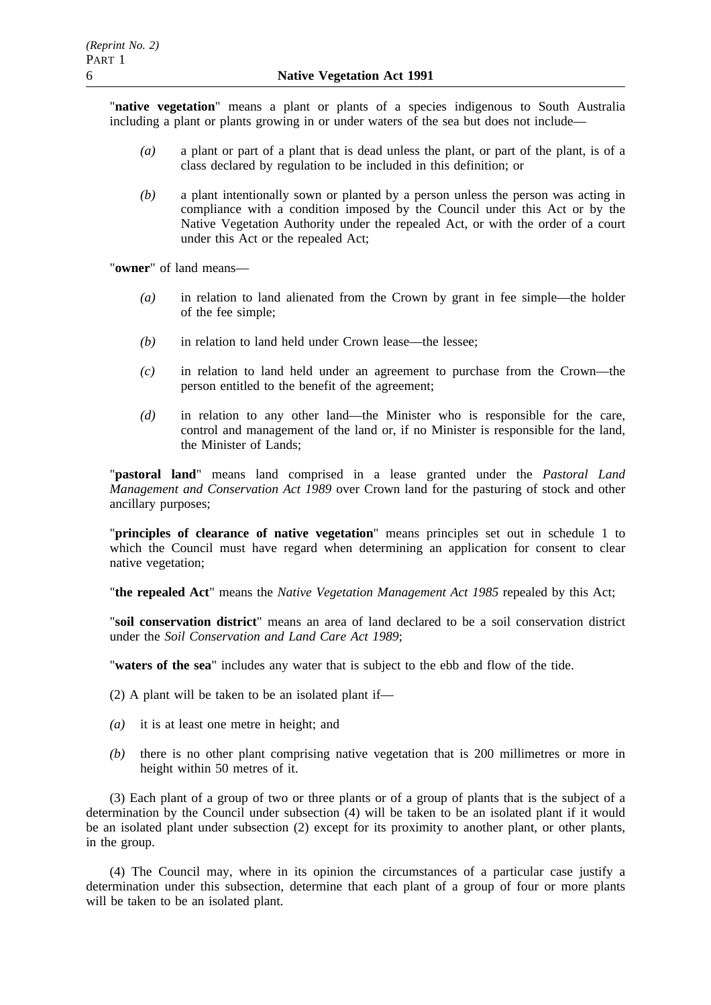"**native vegetation**" means a plant or plants of a species indigenous to South Australia including a plant or plants growing in or under waters of the sea but does not include—

- *(a)* a plant or part of a plant that is dead unless the plant, or part of the plant, is of a class declared by regulation to be included in this definition; or
- *(b)* a plant intentionally sown or planted by a person unless the person was acting in compliance with a condition imposed by the Council under this Act or by the Native Vegetation Authority under the repealed Act, or with the order of a court under this Act or the repealed Act;

"**owner**" of land means—

- *(a)* in relation to land alienated from the Crown by grant in fee simple—the holder of the fee simple;
- *(b)* in relation to land held under Crown lease—the lessee;
- *(c)* in relation to land held under an agreement to purchase from the Crown—the person entitled to the benefit of the agreement;
- *(d)* in relation to any other land—the Minister who is responsible for the care, control and management of the land or, if no Minister is responsible for the land, the Minister of Lands;

"**pastoral land**" means land comprised in a lease granted under the *Pastoral Land Management and Conservation Act 1989* over Crown land for the pasturing of stock and other ancillary purposes;

"**principles of clearance of native vegetation**" means principles set out in schedule 1 to which the Council must have regard when determining an application for consent to clear native vegetation;

"**the repealed Act**" means the *Native Vegetation Management Act 1985* repealed by this Act;

"**soil conservation district**" means an area of land declared to be a soil conservation district under the *Soil Conservation and Land Care Act 1989*;

"**waters of the sea**" includes any water that is subject to the ebb and flow of the tide.

(2) A plant will be taken to be an isolated plant if—

- *(a)* it is at least one metre in height; and
- *(b)* there is no other plant comprising native vegetation that is 200 millimetres or more in height within 50 metres of it.

(3) Each plant of a group of two or three plants or of a group of plants that is the subject of a determination by the Council under subsection (4) will be taken to be an isolated plant if it would be an isolated plant under subsection (2) except for its proximity to another plant, or other plants, in the group.

(4) The Council may, where in its opinion the circumstances of a particular case justify a determination under this subsection, determine that each plant of a group of four or more plants will be taken to be an isolated plant.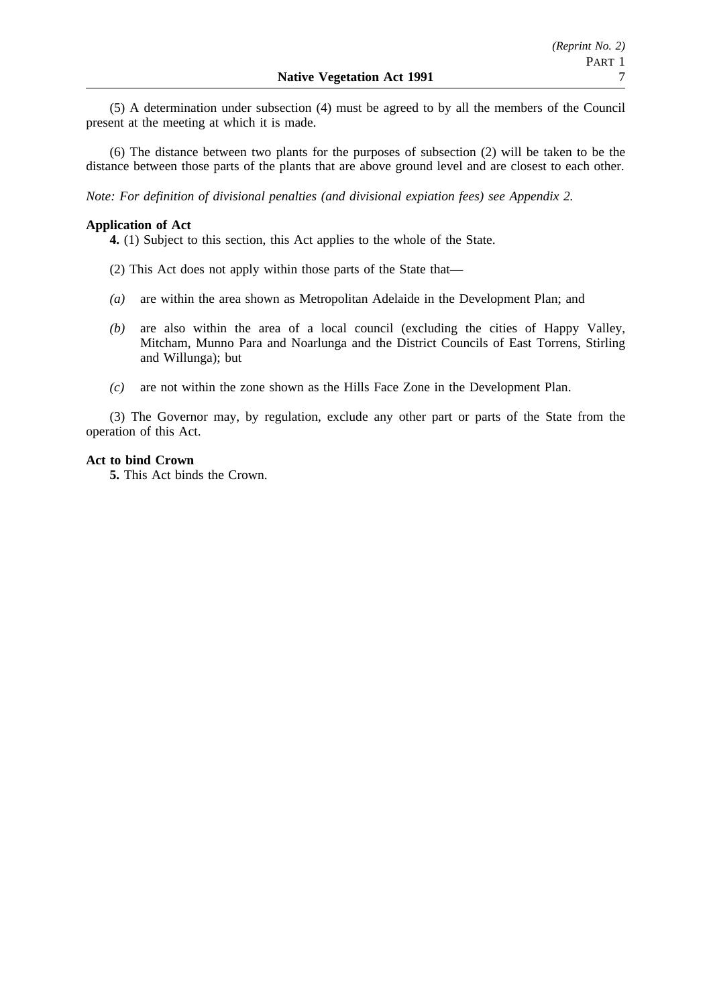(5) A determination under subsection (4) must be agreed to by all the members of the Council present at the meeting at which it is made.

(6) The distance between two plants for the purposes of subsection (2) will be taken to be the distance between those parts of the plants that are above ground level and are closest to each other.

*Note: For definition of divisional penalties (and divisional expiation fees) see Appendix 2.*

#### **Application of Act**

**4.** (1) Subject to this section, this Act applies to the whole of the State.

- (2) This Act does not apply within those parts of the State that—
- *(a)* are within the area shown as Metropolitan Adelaide in the Development Plan; and
- *(b)* are also within the area of a local council (excluding the cities of Happy Valley, Mitcham, Munno Para and Noarlunga and the District Councils of East Torrens, Stirling and Willunga); but
- *(c)* are not within the zone shown as the Hills Face Zone in the Development Plan.

(3) The Governor may, by regulation, exclude any other part or parts of the State from the operation of this Act.

#### **Act to bind Crown**

**5.** This Act binds the Crown.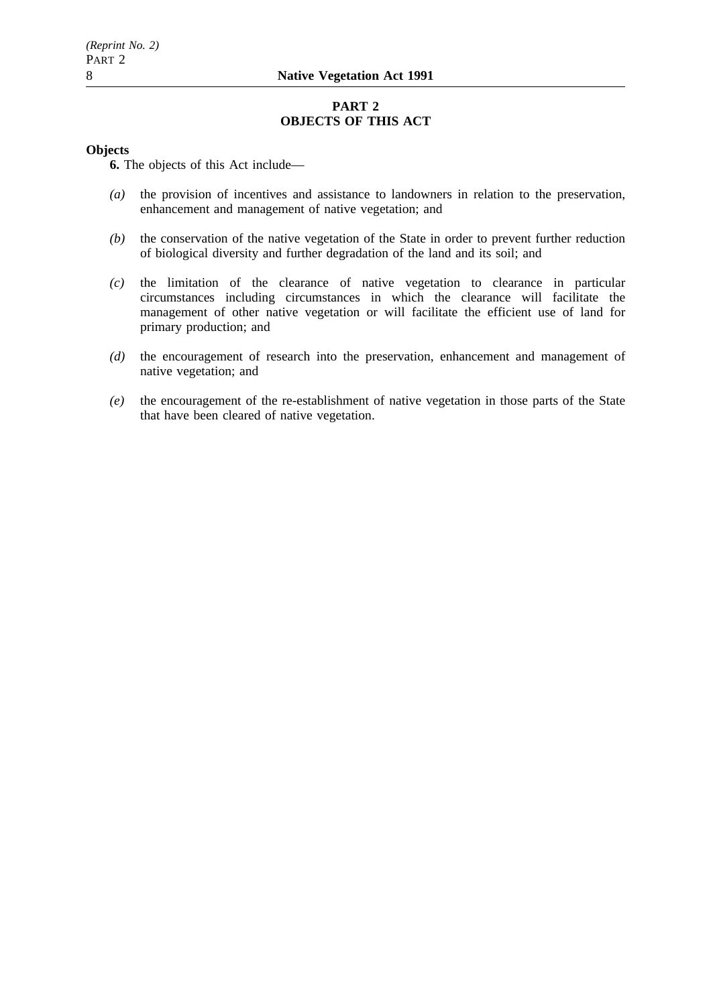## **PART 2 OBJECTS OF THIS ACT**

### **Objects**

**6.** The objects of this Act include—

- *(a)* the provision of incentives and assistance to landowners in relation to the preservation, enhancement and management of native vegetation; and
- *(b)* the conservation of the native vegetation of the State in order to prevent further reduction of biological diversity and further degradation of the land and its soil; and
- *(c)* the limitation of the clearance of native vegetation to clearance in particular circumstances including circumstances in which the clearance will facilitate the management of other native vegetation or will facilitate the efficient use of land for primary production; and
- *(d)* the encouragement of research into the preservation, enhancement and management of native vegetation; and
- *(e)* the encouragement of the re-establishment of native vegetation in those parts of the State that have been cleared of native vegetation.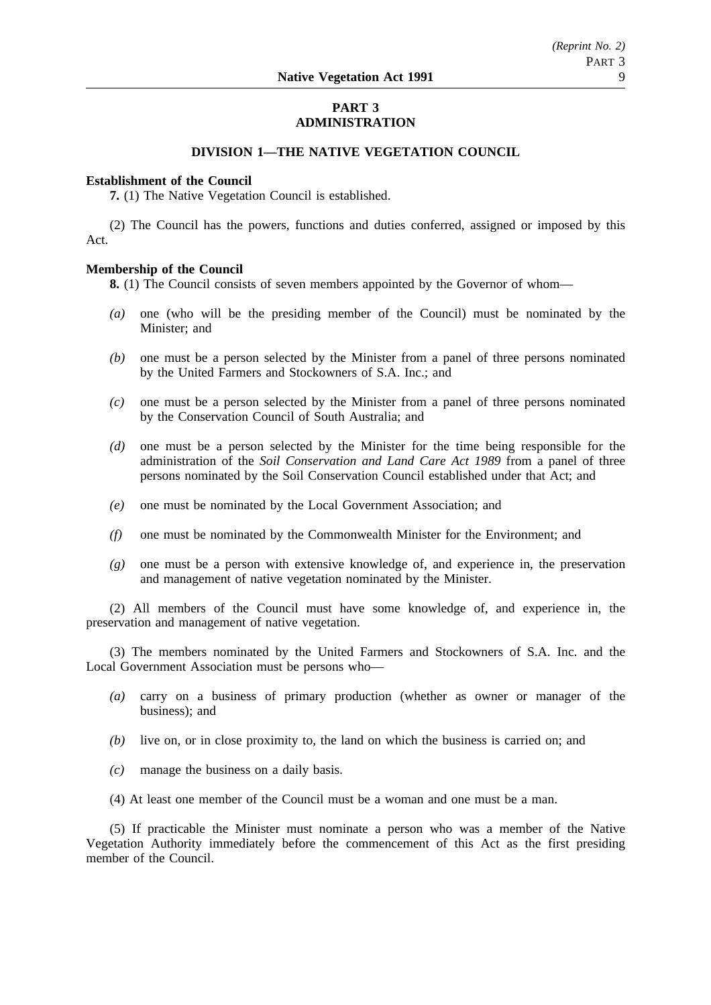## **PART 3 ADMINISTRATION**

## **DIVISION 1—THE NATIVE VEGETATION COUNCIL**

#### **Establishment of the Council**

**7.** (1) The Native Vegetation Council is established.

(2) The Council has the powers, functions and duties conferred, assigned or imposed by this Act.

### **Membership of the Council**

**8.** (1) The Council consists of seven members appointed by the Governor of whom—

- *(a)* one (who will be the presiding member of the Council) must be nominated by the Minister; and
- *(b)* one must be a person selected by the Minister from a panel of three persons nominated by the United Farmers and Stockowners of S.A. Inc.; and
- *(c)* one must be a person selected by the Minister from a panel of three persons nominated by the Conservation Council of South Australia; and
- *(d)* one must be a person selected by the Minister for the time being responsible for the administration of the *Soil Conservation and Land Care Act 1989* from a panel of three persons nominated by the Soil Conservation Council established under that Act; and
- *(e)* one must be nominated by the Local Government Association; and
- *(f)* one must be nominated by the Commonwealth Minister for the Environment; and
- *(g)* one must be a person with extensive knowledge of, and experience in, the preservation and management of native vegetation nominated by the Minister.

(2) All members of the Council must have some knowledge of, and experience in, the preservation and management of native vegetation.

(3) The members nominated by the United Farmers and Stockowners of S.A. Inc. and the Local Government Association must be persons who—

- *(a)* carry on a business of primary production (whether as owner or manager of the business); and
- *(b)* live on, or in close proximity to, the land on which the business is carried on; and
- *(c)* manage the business on a daily basis.
- (4) At least one member of the Council must be a woman and one must be a man.

(5) If practicable the Minister must nominate a person who was a member of the Native Vegetation Authority immediately before the commencement of this Act as the first presiding member of the Council.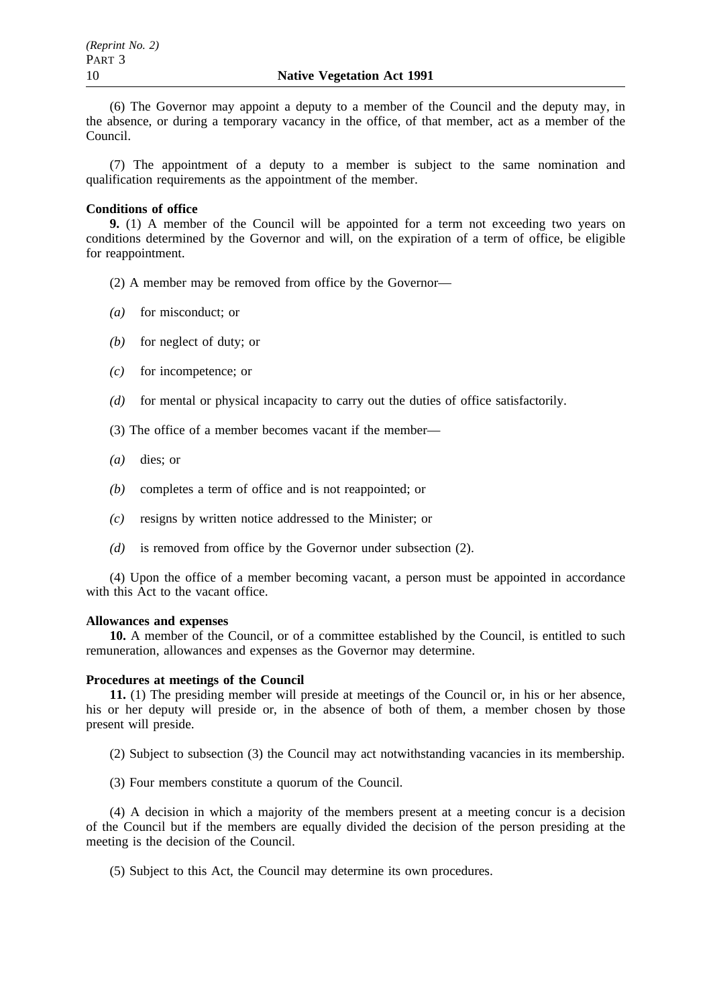(6) The Governor may appoint a deputy to a member of the Council and the deputy may, in the absence, or during a temporary vacancy in the office, of that member, act as a member of the Council.

(7) The appointment of a deputy to a member is subject to the same nomination and qualification requirements as the appointment of the member.

### **Conditions of office**

**9.** (1) A member of the Council will be appointed for a term not exceeding two years on conditions determined by the Governor and will, on the expiration of a term of office, be eligible for reappointment.

- (2) A member may be removed from office by the Governor—
- *(a)* for misconduct; or
- *(b)* for neglect of duty; or
- *(c)* for incompetence; or
- *(d)* for mental or physical incapacity to carry out the duties of office satisfactorily.
- (3) The office of a member becomes vacant if the member—
- *(a)* dies; or
- *(b)* completes a term of office and is not reappointed; or
- *(c)* resigns by written notice addressed to the Minister; or
- *(d)* is removed from office by the Governor under subsection (2).

(4) Upon the office of a member becoming vacant, a person must be appointed in accordance with this Act to the vacant office.

### **Allowances and expenses**

**10.** A member of the Council, or of a committee established by the Council, is entitled to such remuneration, allowances and expenses as the Governor may determine.

#### **Procedures at meetings of the Council**

**11.** (1) The presiding member will preside at meetings of the Council or, in his or her absence, his or her deputy will preside or, in the absence of both of them, a member chosen by those present will preside.

(2) Subject to subsection (3) the Council may act notwithstanding vacancies in its membership.

(3) Four members constitute a quorum of the Council.

(4) A decision in which a majority of the members present at a meeting concur is a decision of the Council but if the members are equally divided the decision of the person presiding at the meeting is the decision of the Council.

(5) Subject to this Act, the Council may determine its own procedures.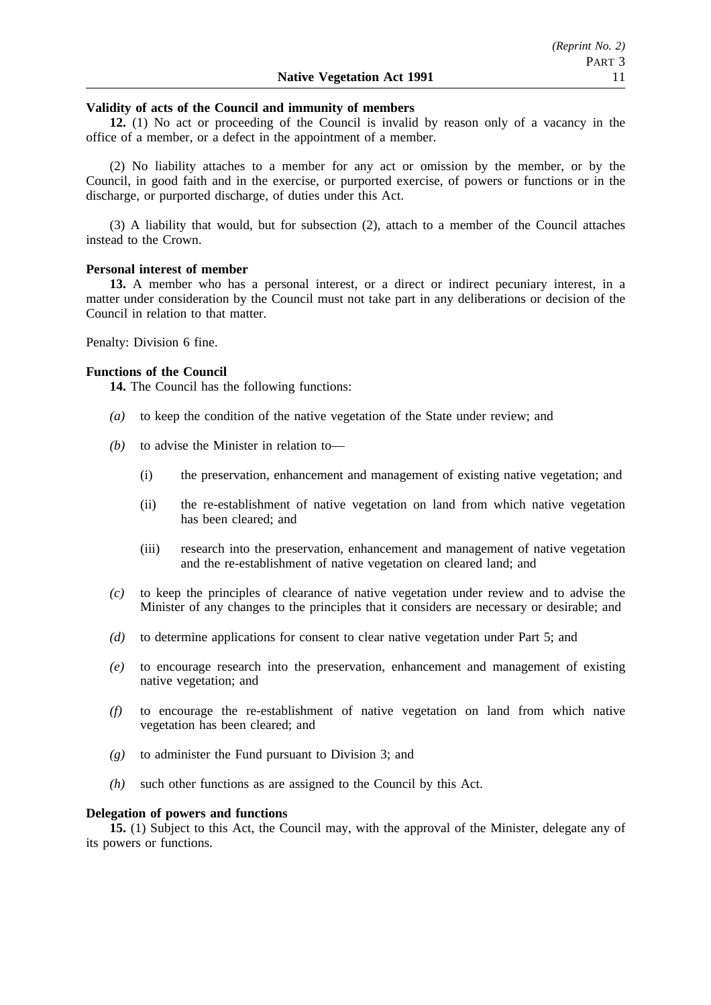## **Validity of acts of the Council and immunity of members**

**12.** (1) No act or proceeding of the Council is invalid by reason only of a vacancy in the office of a member, or a defect in the appointment of a member.

(2) No liability attaches to a member for any act or omission by the member, or by the Council, in good faith and in the exercise, or purported exercise, of powers or functions or in the discharge, or purported discharge, of duties under this Act.

(3) A liability that would, but for subsection (2), attach to a member of the Council attaches instead to the Crown.

## **Personal interest of member**

13. A member who has a personal interest, or a direct or indirect pecuniary interest, in a matter under consideration by the Council must not take part in any deliberations or decision of the Council in relation to that matter.

Penalty: Division 6 fine.

### **Functions of the Council**

**14.** The Council has the following functions:

- *(a)* to keep the condition of the native vegetation of the State under review; and
- *(b)* to advise the Minister in relation to—
	- (i) the preservation, enhancement and management of existing native vegetation; and
	- (ii) the re-establishment of native vegetation on land from which native vegetation has been cleared; and
	- (iii) research into the preservation, enhancement and management of native vegetation and the re-establishment of native vegetation on cleared land; and
- *(c)* to keep the principles of clearance of native vegetation under review and to advise the Minister of any changes to the principles that it considers are necessary or desirable; and
- *(d)* to determine applications for consent to clear native vegetation under Part 5; and
- *(e)* to encourage research into the preservation, enhancement and management of existing native vegetation; and
- *(f)* to encourage the re-establishment of native vegetation on land from which native vegetation has been cleared; and
- *(g)* to administer the Fund pursuant to Division 3; and
- *(h)* such other functions as are assigned to the Council by this Act.

#### **Delegation of powers and functions**

**15.** (1) Subject to this Act, the Council may, with the approval of the Minister, delegate any of its powers or functions.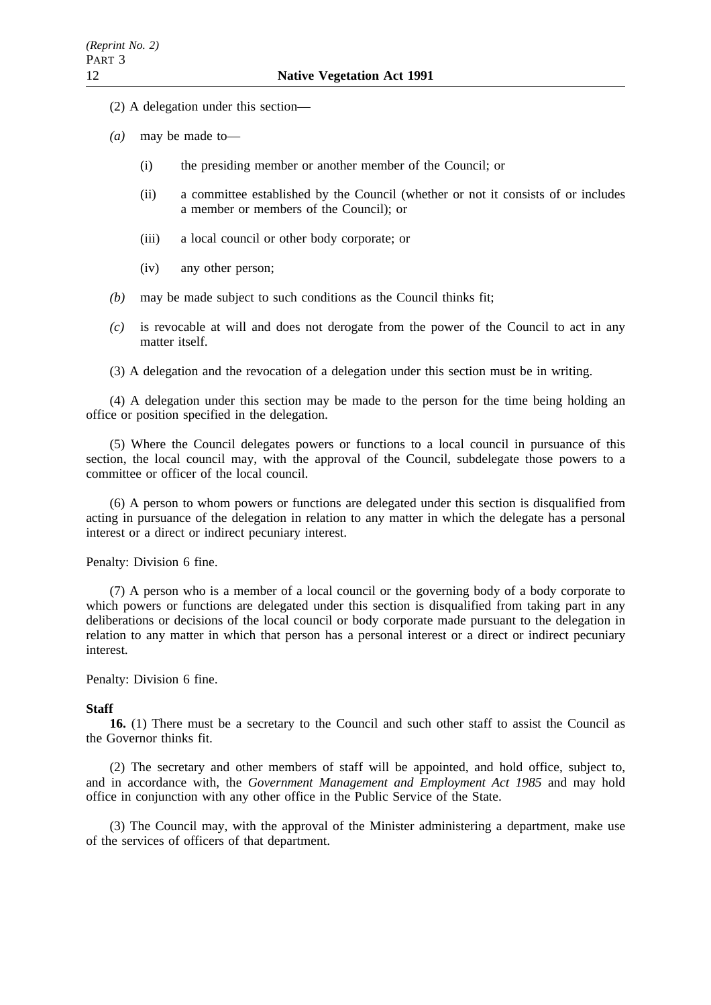- (2) A delegation under this section—
- *(a)* may be made to—
	- (i) the presiding member or another member of the Council; or
	- (ii) a committee established by the Council (whether or not it consists of or includes a member or members of the Council); or
	- (iii) a local council or other body corporate; or
	- (iv) any other person;
- *(b)* may be made subject to such conditions as the Council thinks fit;
- *(c)* is revocable at will and does not derogate from the power of the Council to act in any matter itself.
- (3) A delegation and the revocation of a delegation under this section must be in writing.

(4) A delegation under this section may be made to the person for the time being holding an office or position specified in the delegation.

(5) Where the Council delegates powers or functions to a local council in pursuance of this section, the local council may, with the approval of the Council, subdelegate those powers to a committee or officer of the local council.

(6) A person to whom powers or functions are delegated under this section is disqualified from acting in pursuance of the delegation in relation to any matter in which the delegate has a personal interest or a direct or indirect pecuniary interest.

Penalty: Division 6 fine.

(7) A person who is a member of a local council or the governing body of a body corporate to which powers or functions are delegated under this section is disqualified from taking part in any deliberations or decisions of the local council or body corporate made pursuant to the delegation in relation to any matter in which that person has a personal interest or a direct or indirect pecuniary interest.

### Penalty: Division 6 fine.

#### **Staff**

**16.** (1) There must be a secretary to the Council and such other staff to assist the Council as the Governor thinks fit.

(2) The secretary and other members of staff will be appointed, and hold office, subject to, and in accordance with, the *Government Management and Employment Act 1985* and may hold office in conjunction with any other office in the Public Service of the State.

(3) The Council may, with the approval of the Minister administering a department, make use of the services of officers of that department.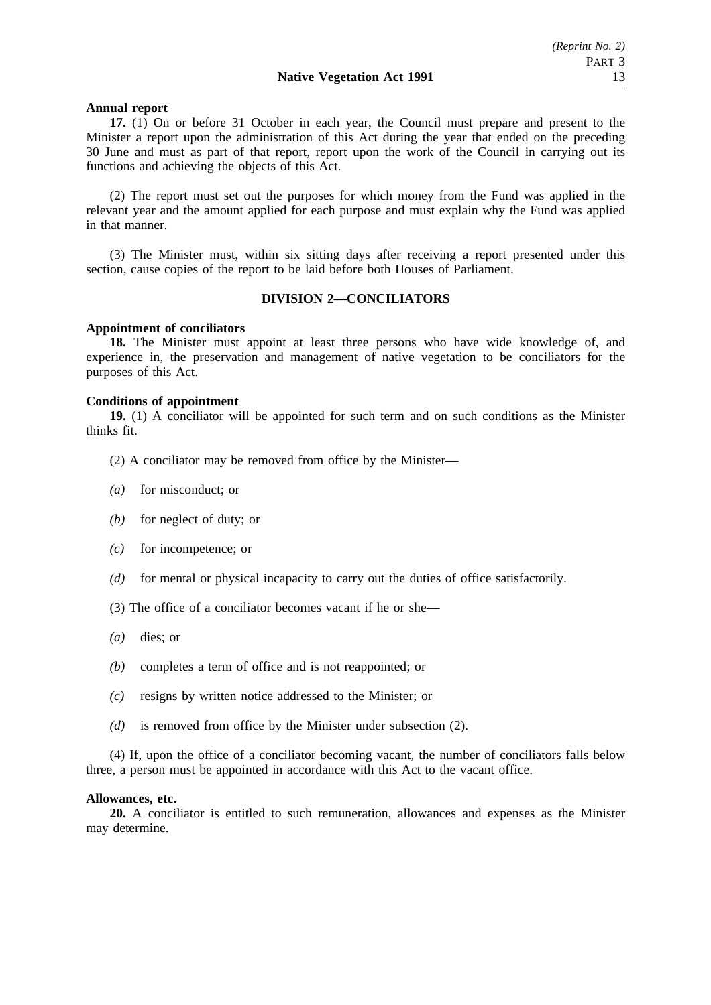### **Annual report**

**17.** (1) On or before 31 October in each year, the Council must prepare and present to the Minister a report upon the administration of this Act during the year that ended on the preceding 30 June and must as part of that report, report upon the work of the Council in carrying out its functions and achieving the objects of this Act.

(2) The report must set out the purposes for which money from the Fund was applied in the relevant year and the amount applied for each purpose and must explain why the Fund was applied in that manner.

(3) The Minister must, within six sitting days after receiving a report presented under this section, cause copies of the report to be laid before both Houses of Parliament.

### **DIVISION 2—CONCILIATORS**

### **Appointment of conciliators**

**18.** The Minister must appoint at least three persons who have wide knowledge of, and experience in, the preservation and management of native vegetation to be conciliators for the purposes of this Act.

#### **Conditions of appointment**

**19.** (1) A conciliator will be appointed for such term and on such conditions as the Minister thinks fit.

(2) A conciliator may be removed from office by the Minister—

- *(a)* for misconduct; or
- *(b)* for neglect of duty; or
- *(c)* for incompetence; or
- *(d)* for mental or physical incapacity to carry out the duties of office satisfactorily.
- (3) The office of a conciliator becomes vacant if he or she—
- *(a)* dies; or
- *(b)* completes a term of office and is not reappointed; or
- *(c)* resigns by written notice addressed to the Minister; or
- *(d)* is removed from office by the Minister under subsection (2).

(4) If, upon the office of a conciliator becoming vacant, the number of conciliators falls below three, a person must be appointed in accordance with this Act to the vacant office.

#### **Allowances, etc.**

**20.** A conciliator is entitled to such remuneration, allowances and expenses as the Minister may determine.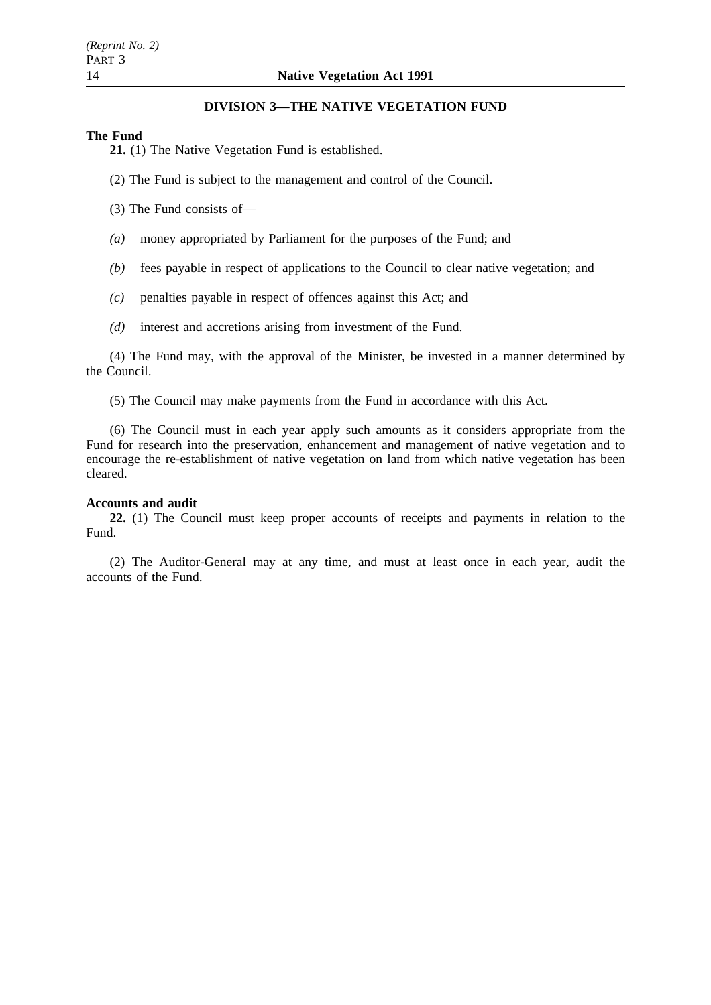### **DIVISION 3—THE NATIVE VEGETATION FUND**

### **The Fund**

**21.** (1) The Native Vegetation Fund is established.

- (2) The Fund is subject to the management and control of the Council.
- (3) The Fund consists of—
- *(a)* money appropriated by Parliament for the purposes of the Fund; and
- *(b)* fees payable in respect of applications to the Council to clear native vegetation; and
- *(c)* penalties payable in respect of offences against this Act; and
- *(d)* interest and accretions arising from investment of the Fund.

(4) The Fund may, with the approval of the Minister, be invested in a manner determined by the Council.

(5) The Council may make payments from the Fund in accordance with this Act.

(6) The Council must in each year apply such amounts as it considers appropriate from the Fund for research into the preservation, enhancement and management of native vegetation and to encourage the re-establishment of native vegetation on land from which native vegetation has been cleared.

### **Accounts and audit**

**22.** (1) The Council must keep proper accounts of receipts and payments in relation to the Fund.

(2) The Auditor-General may at any time, and must at least once in each year, audit the accounts of the Fund.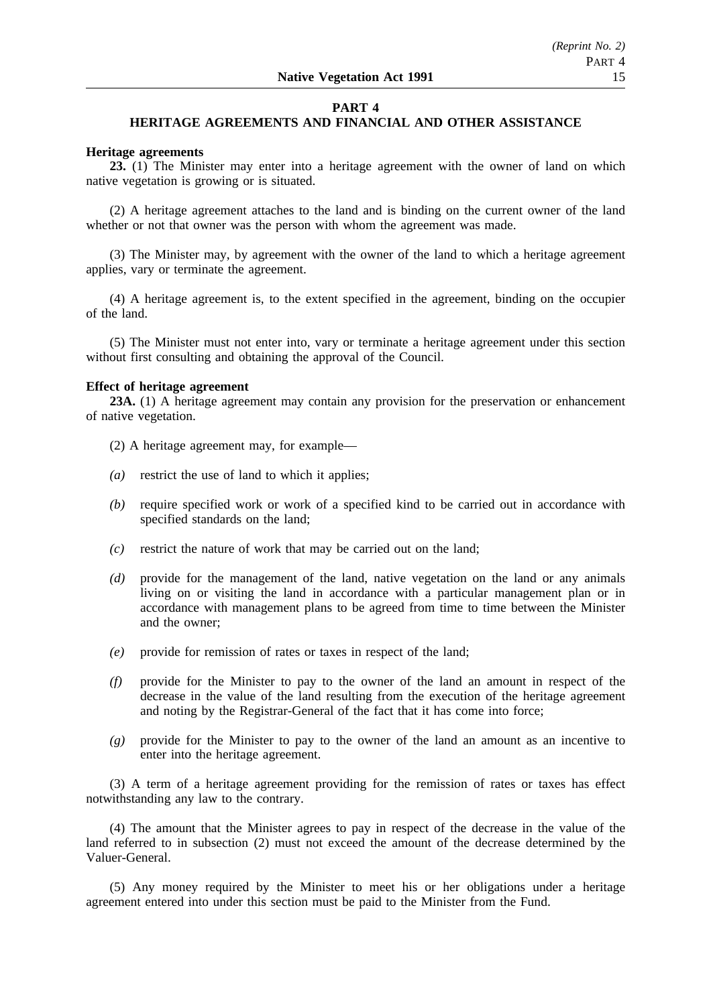### **PART 4**

## **HERITAGE AGREEMENTS AND FINANCIAL AND OTHER ASSISTANCE**

### **Heritage agreements**

**23.** (1) The Minister may enter into a heritage agreement with the owner of land on which native vegetation is growing or is situated.

(2) A heritage agreement attaches to the land and is binding on the current owner of the land whether or not that owner was the person with whom the agreement was made.

(3) The Minister may, by agreement with the owner of the land to which a heritage agreement applies, vary or terminate the agreement.

(4) A heritage agreement is, to the extent specified in the agreement, binding on the occupier of the land.

(5) The Minister must not enter into, vary or terminate a heritage agreement under this section without first consulting and obtaining the approval of the Council.

### **Effect of heritage agreement**

**23A.** (1) A heritage agreement may contain any provision for the preservation or enhancement of native vegetation.

- (2) A heritage agreement may, for example—
- *(a)* restrict the use of land to which it applies;
- *(b)* require specified work or work of a specified kind to be carried out in accordance with specified standards on the land;
- *(c)* restrict the nature of work that may be carried out on the land;
- *(d)* provide for the management of the land, native vegetation on the land or any animals living on or visiting the land in accordance with a particular management plan or in accordance with management plans to be agreed from time to time between the Minister and the owner;
- *(e)* provide for remission of rates or taxes in respect of the land;
- *(f)* provide for the Minister to pay to the owner of the land an amount in respect of the decrease in the value of the land resulting from the execution of the heritage agreement and noting by the Registrar-General of the fact that it has come into force;
- *(g)* provide for the Minister to pay to the owner of the land an amount as an incentive to enter into the heritage agreement.

(3) A term of a heritage agreement providing for the remission of rates or taxes has effect notwithstanding any law to the contrary.

(4) The amount that the Minister agrees to pay in respect of the decrease in the value of the land referred to in subsection (2) must not exceed the amount of the decrease determined by the Valuer-General.

(5) Any money required by the Minister to meet his or her obligations under a heritage agreement entered into under this section must be paid to the Minister from the Fund.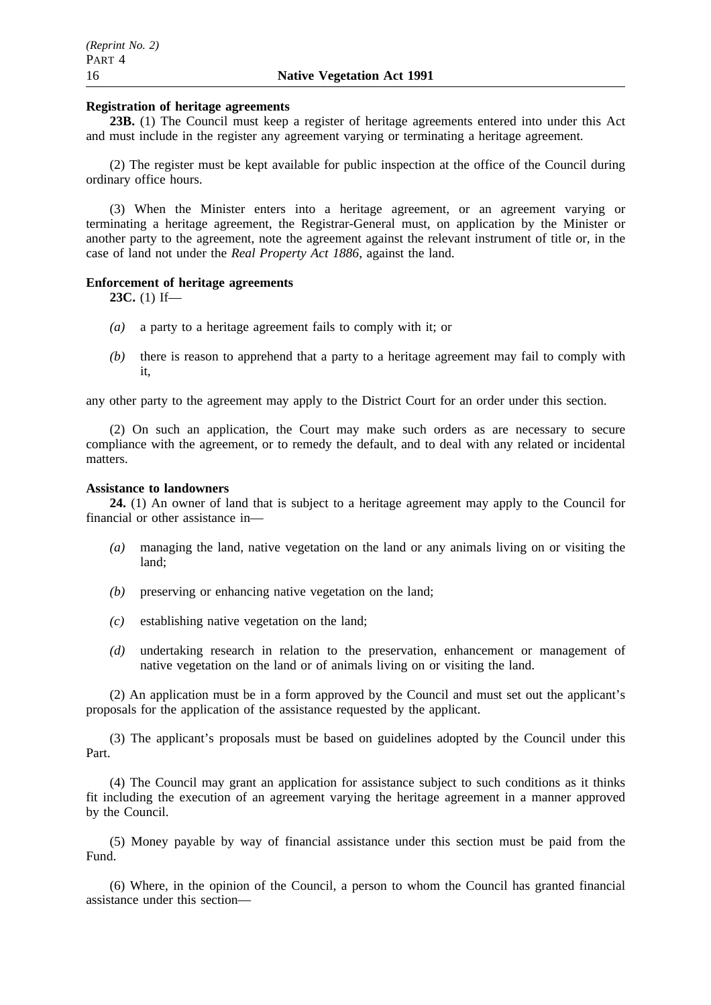### **Registration of heritage agreements**

**23B.** (1) The Council must keep a register of heritage agreements entered into under this Act and must include in the register any agreement varying or terminating a heritage agreement.

(2) The register must be kept available for public inspection at the office of the Council during ordinary office hours.

(3) When the Minister enters into a heritage agreement, or an agreement varying or terminating a heritage agreement, the Registrar-General must, on application by the Minister or another party to the agreement, note the agreement against the relevant instrument of title or, in the case of land not under the *Real Property Act 1886*, against the land.

### **Enforcement of heritage agreements**

**23C.** (1) If—

- *(a)* a party to a heritage agreement fails to comply with it; or
- *(b)* there is reason to apprehend that a party to a heritage agreement may fail to comply with it,

any other party to the agreement may apply to the District Court for an order under this section.

(2) On such an application, the Court may make such orders as are necessary to secure compliance with the agreement, or to remedy the default, and to deal with any related or incidental matters.

#### **Assistance to landowners**

**24.** (1) An owner of land that is subject to a heritage agreement may apply to the Council for financial or other assistance in—

- *(a)* managing the land, native vegetation on the land or any animals living on or visiting the land;
- *(b)* preserving or enhancing native vegetation on the land;
- *(c)* establishing native vegetation on the land;
- *(d)* undertaking research in relation to the preservation, enhancement or management of native vegetation on the land or of animals living on or visiting the land.

(2) An application must be in a form approved by the Council and must set out the applicant's proposals for the application of the assistance requested by the applicant.

(3) The applicant's proposals must be based on guidelines adopted by the Council under this Part.

(4) The Council may grant an application for assistance subject to such conditions as it thinks fit including the execution of an agreement varying the heritage agreement in a manner approved by the Council.

(5) Money payable by way of financial assistance under this section must be paid from the Fund.

(6) Where, in the opinion of the Council, a person to whom the Council has granted financial assistance under this section—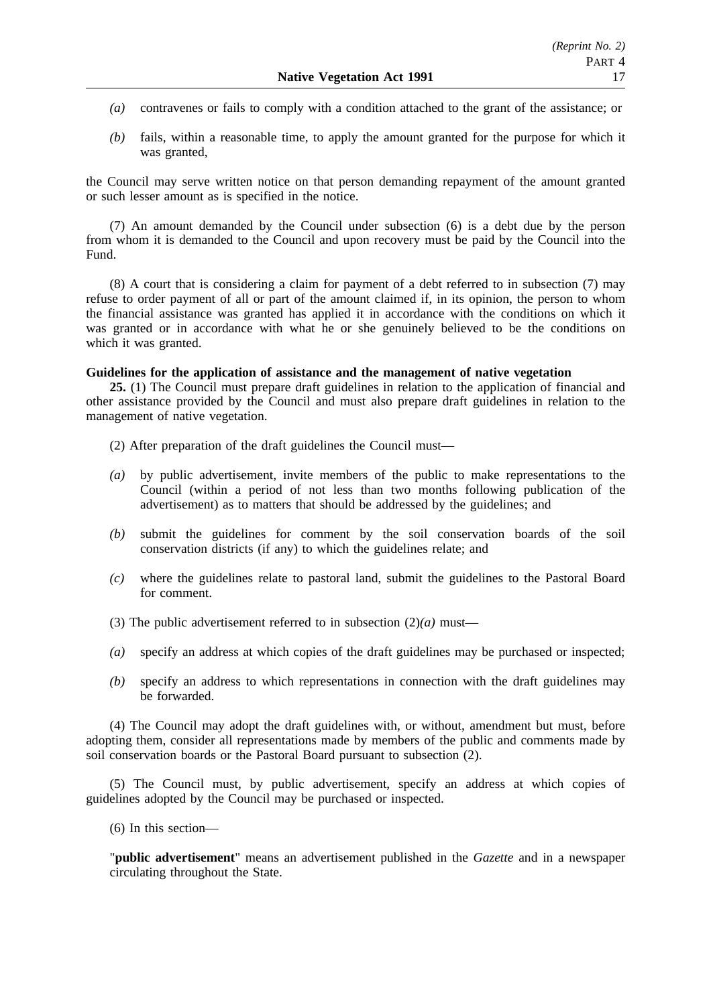- *(a)* contravenes or fails to comply with a condition attached to the grant of the assistance; or
- *(b)* fails, within a reasonable time, to apply the amount granted for the purpose for which it was granted,

the Council may serve written notice on that person demanding repayment of the amount granted or such lesser amount as is specified in the notice.

(7) An amount demanded by the Council under subsection (6) is a debt due by the person from whom it is demanded to the Council and upon recovery must be paid by the Council into the Fund.

(8) A court that is considering a claim for payment of a debt referred to in subsection (7) may refuse to order payment of all or part of the amount claimed if, in its opinion, the person to whom the financial assistance was granted has applied it in accordance with the conditions on which it was granted or in accordance with what he or she genuinely believed to be the conditions on which it was granted.

## **Guidelines for the application of assistance and the management of native vegetation**

**25.** (1) The Council must prepare draft guidelines in relation to the application of financial and other assistance provided by the Council and must also prepare draft guidelines in relation to the management of native vegetation.

- (2) After preparation of the draft guidelines the Council must—
- *(a)* by public advertisement, invite members of the public to make representations to the Council (within a period of not less than two months following publication of the advertisement) as to matters that should be addressed by the guidelines; and
- *(b)* submit the guidelines for comment by the soil conservation boards of the soil conservation districts (if any) to which the guidelines relate; and
- *(c)* where the guidelines relate to pastoral land, submit the guidelines to the Pastoral Board for comment.
- (3) The public advertisement referred to in subsection  $(2)(a)$  must—
- *(a)* specify an address at which copies of the draft guidelines may be purchased or inspected;
- *(b)* specify an address to which representations in connection with the draft guidelines may be forwarded.

(4) The Council may adopt the draft guidelines with, or without, amendment but must, before adopting them, consider all representations made by members of the public and comments made by soil conservation boards or the Pastoral Board pursuant to subsection (2).

(5) The Council must, by public advertisement, specify an address at which copies of guidelines adopted by the Council may be purchased or inspected.

(6) In this section—

"**public advertisement**" means an advertisement published in the *Gazette* and in a newspaper circulating throughout the State.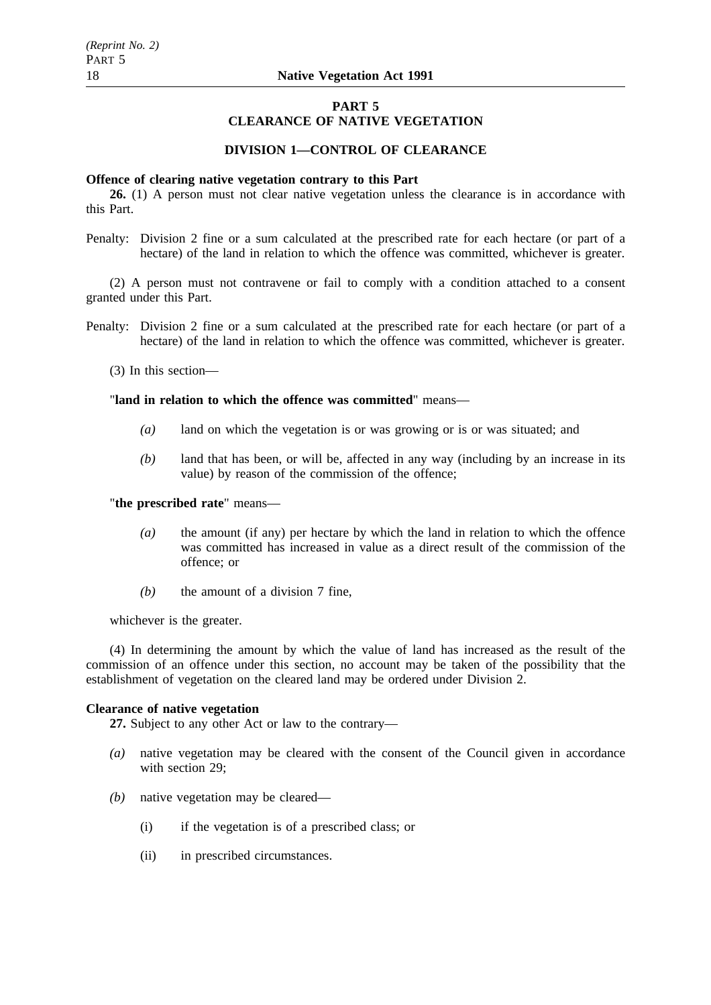## **PART 5**

# **CLEARANCE OF NATIVE VEGETATION**

## **DIVISION 1—CONTROL OF CLEARANCE**

#### **Offence of clearing native vegetation contrary to this Part**

**26.** (1) A person must not clear native vegetation unless the clearance is in accordance with this Part.

Penalty: Division 2 fine or a sum calculated at the prescribed rate for each hectare (or part of a hectare) of the land in relation to which the offence was committed, whichever is greater.

(2) A person must not contravene or fail to comply with a condition attached to a consent granted under this Part.

- Penalty: Division 2 fine or a sum calculated at the prescribed rate for each hectare (or part of a hectare) of the land in relation to which the offence was committed, whichever is greater.
	- (3) In this section—

### "**land in relation to which the offence was committed**" means—

- *(a)* land on which the vegetation is or was growing or is or was situated; and
- *(b)* land that has been, or will be, affected in any way (including by an increase in its value) by reason of the commission of the offence;

"**the prescribed rate**" means—

- *(a)* the amount (if any) per hectare by which the land in relation to which the offence was committed has increased in value as a direct result of the commission of the offence; or
- *(b)* the amount of a division 7 fine,

whichever is the greater.

(4) In determining the amount by which the value of land has increased as the result of the commission of an offence under this section, no account may be taken of the possibility that the establishment of vegetation on the cleared land may be ordered under Division 2.

#### **Clearance of native vegetation**

**27.** Subject to any other Act or law to the contrary—

- *(a)* native vegetation may be cleared with the consent of the Council given in accordance with section 29:
- *(b)* native vegetation may be cleared—
	- (i) if the vegetation is of a prescribed class; or
	- (ii) in prescribed circumstances.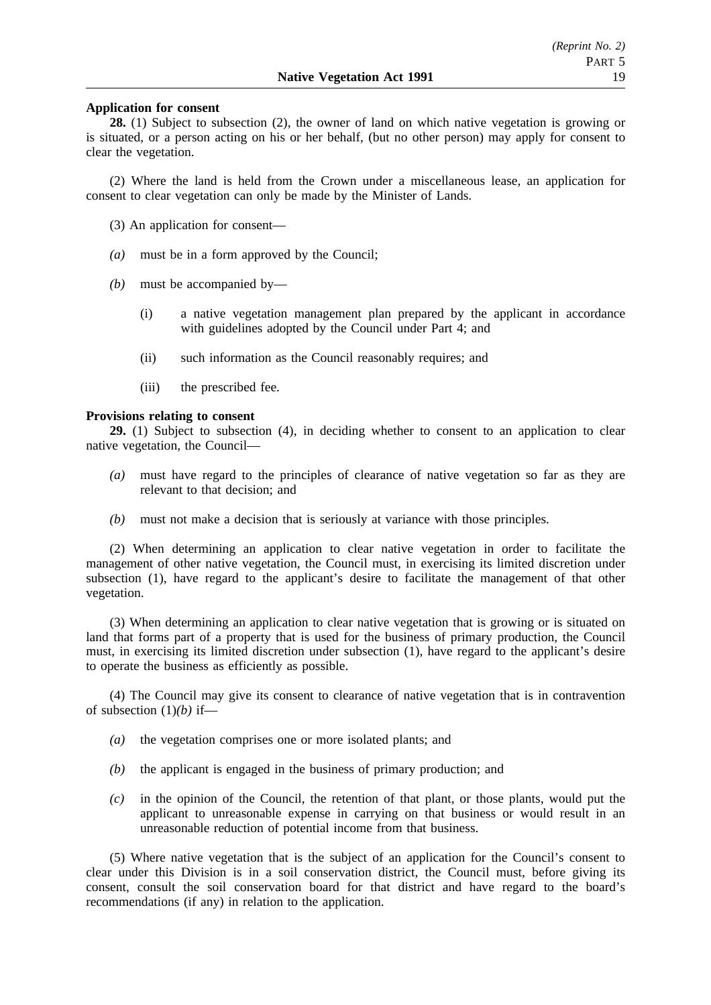### **Application for consent**

**28.** (1) Subject to subsection (2), the owner of land on which native vegetation is growing or is situated, or a person acting on his or her behalf, (but no other person) may apply for consent to clear the vegetation.

(2) Where the land is held from the Crown under a miscellaneous lease, an application for consent to clear vegetation can only be made by the Minister of Lands.

- (3) An application for consent—
- *(a)* must be in a form approved by the Council;
- *(b)* must be accompanied by—
	- (i) a native vegetation management plan prepared by the applicant in accordance with guidelines adopted by the Council under Part 4; and
	- (ii) such information as the Council reasonably requires; and
	- (iii) the prescribed fee.

### **Provisions relating to consent**

**29.** (1) Subject to subsection (4), in deciding whether to consent to an application to clear native vegetation, the Council—

- *(a)* must have regard to the principles of clearance of native vegetation so far as they are relevant to that decision; and
- *(b)* must not make a decision that is seriously at variance with those principles.

(2) When determining an application to clear native vegetation in order to facilitate the management of other native vegetation, the Council must, in exercising its limited discretion under subsection (1), have regard to the applicant's desire to facilitate the management of that other vegetation.

(3) When determining an application to clear native vegetation that is growing or is situated on land that forms part of a property that is used for the business of primary production, the Council must, in exercising its limited discretion under subsection (1), have regard to the applicant's desire to operate the business as efficiently as possible.

(4) The Council may give its consent to clearance of native vegetation that is in contravention of subsection (1)*(b)* if—

- *(a)* the vegetation comprises one or more isolated plants; and
- *(b)* the applicant is engaged in the business of primary production; and
- *(c)* in the opinion of the Council, the retention of that plant, or those plants, would put the applicant to unreasonable expense in carrying on that business or would result in an unreasonable reduction of potential income from that business.

(5) Where native vegetation that is the subject of an application for the Council's consent to clear under this Division is in a soil conservation district, the Council must, before giving its consent, consult the soil conservation board for that district and have regard to the board's recommendations (if any) in relation to the application.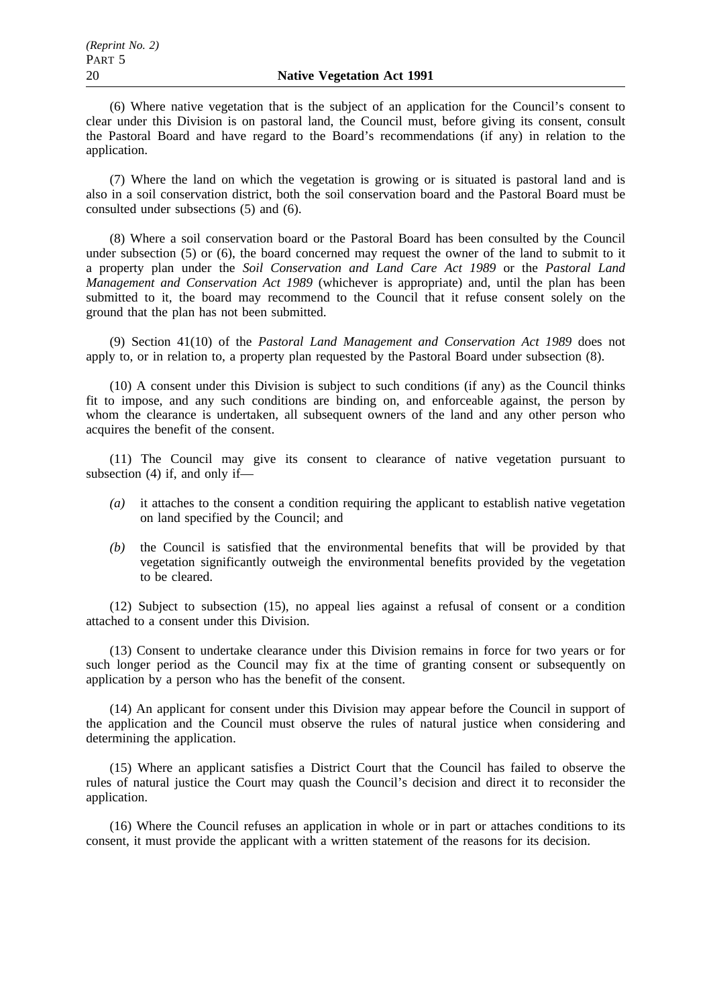(6) Where native vegetation that is the subject of an application for the Council's consent to clear under this Division is on pastoral land, the Council must, before giving its consent, consult the Pastoral Board and have regard to the Board's recommendations (if any) in relation to the application.

(7) Where the land on which the vegetation is growing or is situated is pastoral land and is also in a soil conservation district, both the soil conservation board and the Pastoral Board must be consulted under subsections (5) and (6).

(8) Where a soil conservation board or the Pastoral Board has been consulted by the Council under subsection (5) or (6), the board concerned may request the owner of the land to submit to it a property plan under the *Soil Conservation and Land Care Act 1989* or the *Pastoral Land Management and Conservation Act 1989* (whichever is appropriate) and, until the plan has been submitted to it, the board may recommend to the Council that it refuse consent solely on the ground that the plan has not been submitted.

(9) Section 41(10) of the *Pastoral Land Management and Conservation Act 1989* does not apply to, or in relation to, a property plan requested by the Pastoral Board under subsection (8).

(10) A consent under this Division is subject to such conditions (if any) as the Council thinks fit to impose, and any such conditions are binding on, and enforceable against, the person by whom the clearance is undertaken, all subsequent owners of the land and any other person who acquires the benefit of the consent.

(11) The Council may give its consent to clearance of native vegetation pursuant to subsection (4) if, and only if—

- *(a)* it attaches to the consent a condition requiring the applicant to establish native vegetation on land specified by the Council; and
- *(b)* the Council is satisfied that the environmental benefits that will be provided by that vegetation significantly outweigh the environmental benefits provided by the vegetation to be cleared.

(12) Subject to subsection (15), no appeal lies against a refusal of consent or a condition attached to a consent under this Division.

(13) Consent to undertake clearance under this Division remains in force for two years or for such longer period as the Council may fix at the time of granting consent or subsequently on application by a person who has the benefit of the consent.

(14) An applicant for consent under this Division may appear before the Council in support of the application and the Council must observe the rules of natural justice when considering and determining the application.

(15) Where an applicant satisfies a District Court that the Council has failed to observe the rules of natural justice the Court may quash the Council's decision and direct it to reconsider the application.

(16) Where the Council refuses an application in whole or in part or attaches conditions to its consent, it must provide the applicant with a written statement of the reasons for its decision.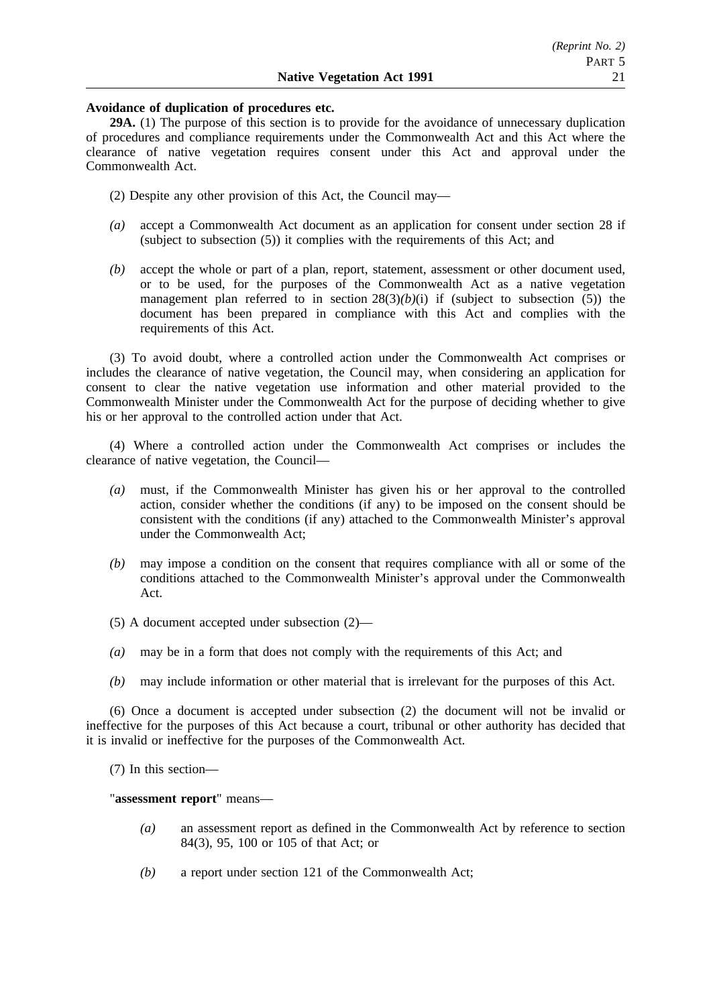### **Avoidance of duplication of procedures etc.**

**29A.** (1) The purpose of this section is to provide for the avoidance of unnecessary duplication of procedures and compliance requirements under the Commonwealth Act and this Act where the clearance of native vegetation requires consent under this Act and approval under the Commonwealth Act.

- (2) Despite any other provision of this Act, the Council may—
- *(a)* accept a Commonwealth Act document as an application for consent under section 28 if (subject to subsection (5)) it complies with the requirements of this Act; and
- *(b)* accept the whole or part of a plan, report, statement, assessment or other document used, or to be used, for the purposes of the Commonwealth Act as a native vegetation management plan referred to in section  $28(3)(b)(i)$  if (subject to subsection (5)) the document has been prepared in compliance with this Act and complies with the requirements of this Act.

(3) To avoid doubt, where a controlled action under the Commonwealth Act comprises or includes the clearance of native vegetation, the Council may, when considering an application for consent to clear the native vegetation use information and other material provided to the Commonwealth Minister under the Commonwealth Act for the purpose of deciding whether to give his or her approval to the controlled action under that Act.

(4) Where a controlled action under the Commonwealth Act comprises or includes the clearance of native vegetation, the Council—

- *(a)* must, if the Commonwealth Minister has given his or her approval to the controlled action, consider whether the conditions (if any) to be imposed on the consent should be consistent with the conditions (if any) attached to the Commonwealth Minister's approval under the Commonwealth Act;
- *(b)* may impose a condition on the consent that requires compliance with all or some of the conditions attached to the Commonwealth Minister's approval under the Commonwealth Act.
- (5) A document accepted under subsection (2)—
- *(a)* may be in a form that does not comply with the requirements of this Act; and
- *(b)* may include information or other material that is irrelevant for the purposes of this Act.

(6) Once a document is accepted under subsection (2) the document will not be invalid or ineffective for the purposes of this Act because a court, tribunal or other authority has decided that it is invalid or ineffective for the purposes of the Commonwealth Act.

(7) In this section—

"**assessment report**" means—

- *(a)* an assessment report as defined in the Commonwealth Act by reference to section 84(3), 95, 100 or 105 of that Act; or
- *(b)* a report under section 121 of the Commonwealth Act;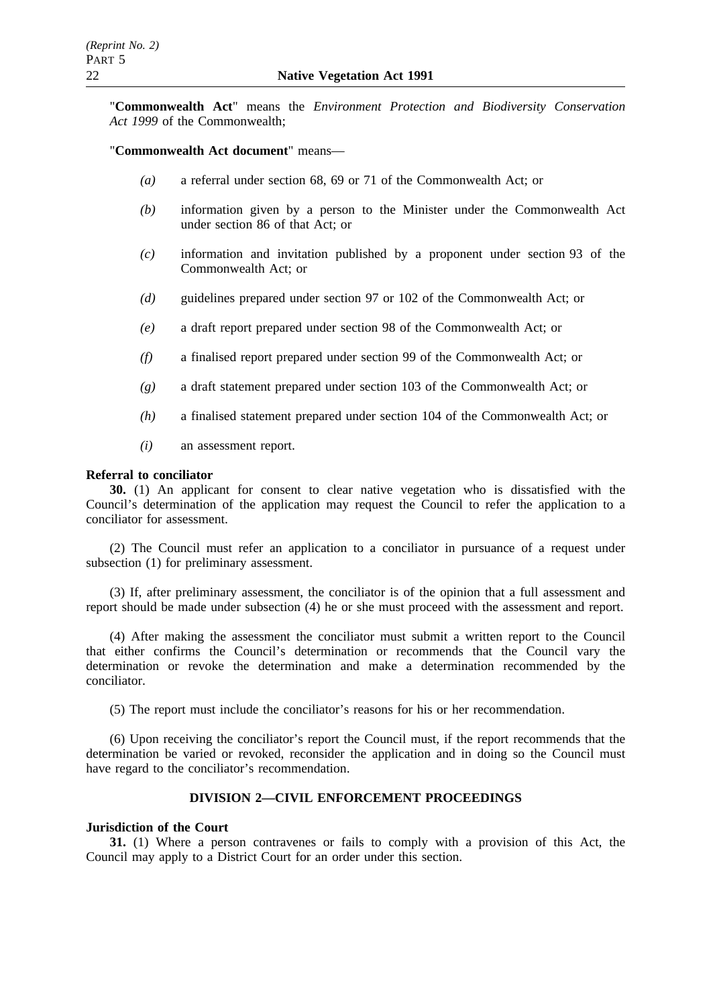"**Commonwealth Act**" means the *Environment Protection and Biodiversity Conservation Act 1999* of the Commonwealth;

### "**Commonwealth Act document**" means—

- *(a)* a referral under section 68, 69 or 71 of the Commonwealth Act; or
- *(b)* information given by a person to the Minister under the Commonwealth Act under section 86 of that Act; or
- *(c)* information and invitation published by a proponent under section 93 of the Commonwealth Act; or
- *(d)* guidelines prepared under section 97 or 102 of the Commonwealth Act; or
- *(e)* a draft report prepared under section 98 of the Commonwealth Act; or
- *(f)* a finalised report prepared under section 99 of the Commonwealth Act; or
- *(g)* a draft statement prepared under section 103 of the Commonwealth Act; or
- *(h)* a finalised statement prepared under section 104 of the Commonwealth Act; or
- *(i)* an assessment report.

### **Referral to conciliator**

**30.** (1) An applicant for consent to clear native vegetation who is dissatisfied with the Council's determination of the application may request the Council to refer the application to a conciliator for assessment.

(2) The Council must refer an application to a conciliator in pursuance of a request under subsection (1) for preliminary assessment.

(3) If, after preliminary assessment, the conciliator is of the opinion that a full assessment and report should be made under subsection (4) he or she must proceed with the assessment and report.

(4) After making the assessment the conciliator must submit a written report to the Council that either confirms the Council's determination or recommends that the Council vary the determination or revoke the determination and make a determination recommended by the conciliator.

(5) The report must include the conciliator's reasons for his or her recommendation.

(6) Upon receiving the conciliator's report the Council must, if the report recommends that the determination be varied or revoked, reconsider the application and in doing so the Council must have regard to the conciliator's recommendation.

### **DIVISION 2—CIVIL ENFORCEMENT PROCEEDINGS**

### **Jurisdiction of the Court**

**31.** (1) Where a person contravenes or fails to comply with a provision of this Act, the Council may apply to a District Court for an order under this section.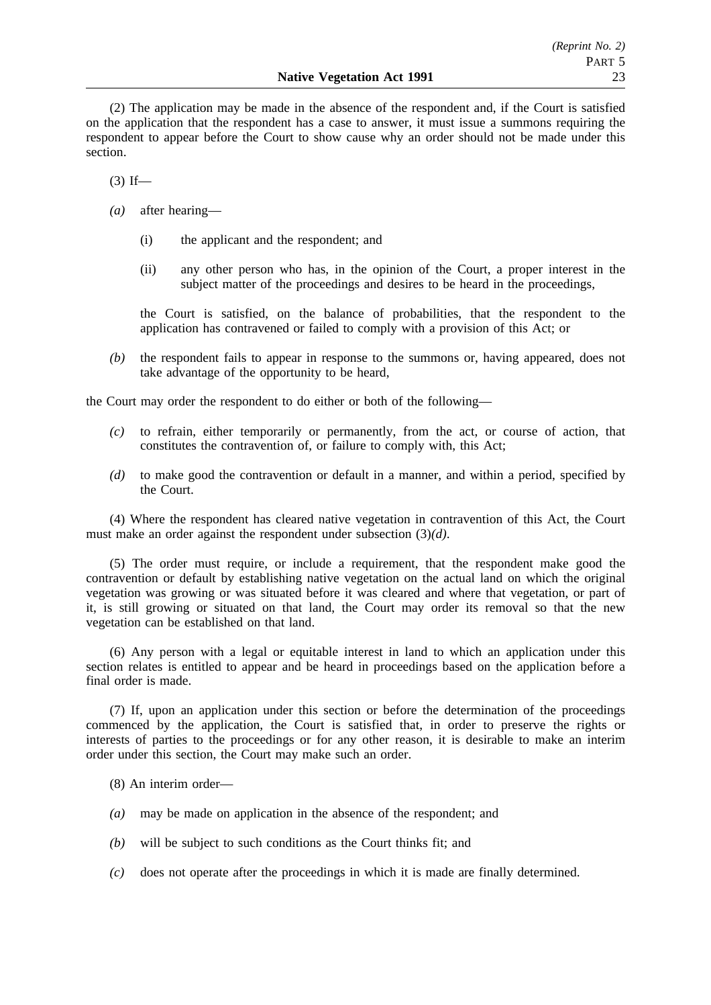(2) The application may be made in the absence of the respondent and, if the Court is satisfied on the application that the respondent has a case to answer, it must issue a summons requiring the respondent to appear before the Court to show cause why an order should not be made under this section.

 $(3)$  If—

- *(a)* after hearing—
	- (i) the applicant and the respondent; and
	- (ii) any other person who has, in the opinion of the Court, a proper interest in the subject matter of the proceedings and desires to be heard in the proceedings,

the Court is satisfied, on the balance of probabilities, that the respondent to the application has contravened or failed to comply with a provision of this Act; or

*(b)* the respondent fails to appear in response to the summons or, having appeared, does not take advantage of the opportunity to be heard,

the Court may order the respondent to do either or both of the following—

- *(c)* to refrain, either temporarily or permanently, from the act, or course of action, that constitutes the contravention of, or failure to comply with, this Act;
- *(d)* to make good the contravention or default in a manner, and within a period, specified by the Court.

(4) Where the respondent has cleared native vegetation in contravention of this Act, the Court must make an order against the respondent under subsection (3)*(d)*.

(5) The order must require, or include a requirement, that the respondent make good the contravention or default by establishing native vegetation on the actual land on which the original vegetation was growing or was situated before it was cleared and where that vegetation, or part of it, is still growing or situated on that land, the Court may order its removal so that the new vegetation can be established on that land.

(6) Any person with a legal or equitable interest in land to which an application under this section relates is entitled to appear and be heard in proceedings based on the application before a final order is made.

(7) If, upon an application under this section or before the determination of the proceedings commenced by the application, the Court is satisfied that, in order to preserve the rights or interests of parties to the proceedings or for any other reason, it is desirable to make an interim order under this section, the Court may make such an order.

(8) An interim order—

- *(a)* may be made on application in the absence of the respondent; and
- *(b)* will be subject to such conditions as the Court thinks fit; and
- *(c)* does not operate after the proceedings in which it is made are finally determined.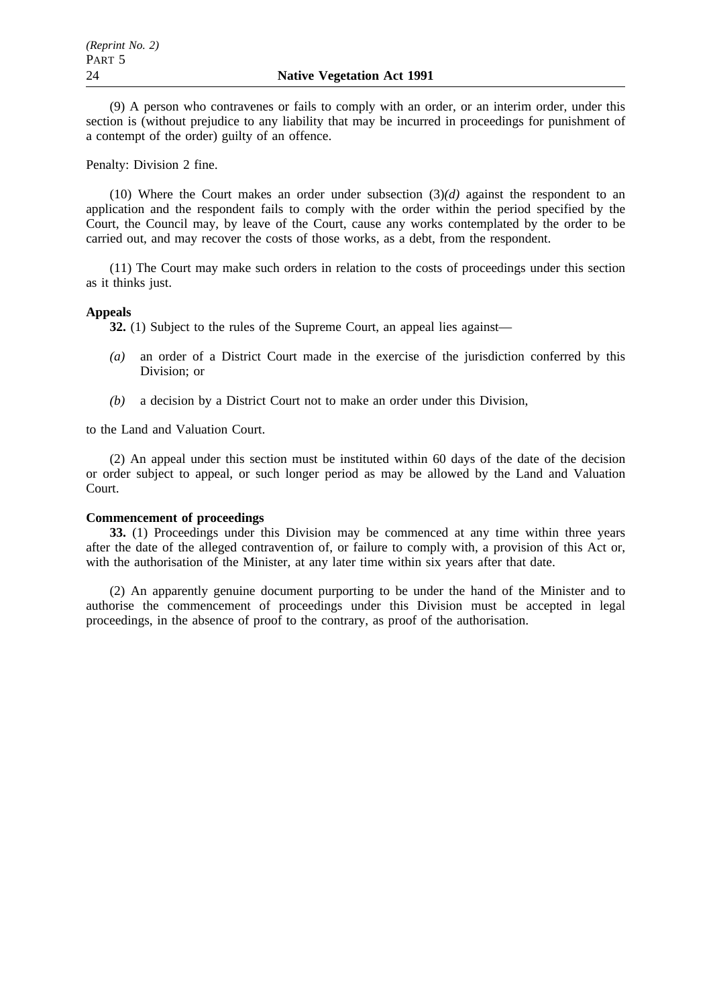(9) A person who contravenes or fails to comply with an order, or an interim order, under this section is (without prejudice to any liability that may be incurred in proceedings for punishment of a contempt of the order) guilty of an offence.

Penalty: Division 2 fine.

(10) Where the Court makes an order under subsection  $(3)(d)$  against the respondent to an application and the respondent fails to comply with the order within the period specified by the Court, the Council may, by leave of the Court, cause any works contemplated by the order to be carried out, and may recover the costs of those works, as a debt, from the respondent.

(11) The Court may make such orders in relation to the costs of proceedings under this section as it thinks just.

### **Appeals**

**32.** (1) Subject to the rules of the Supreme Court, an appeal lies against—

- *(a)* an order of a District Court made in the exercise of the jurisdiction conferred by this Division; or
- *(b)* a decision by a District Court not to make an order under this Division,

to the Land and Valuation Court.

(2) An appeal under this section must be instituted within 60 days of the date of the decision or order subject to appeal, or such longer period as may be allowed by the Land and Valuation Court.

## **Commencement of proceedings**

**33.** (1) Proceedings under this Division may be commenced at any time within three years after the date of the alleged contravention of, or failure to comply with, a provision of this Act or, with the authorisation of the Minister, at any later time within six years after that date.

(2) An apparently genuine document purporting to be under the hand of the Minister and to authorise the commencement of proceedings under this Division must be accepted in legal proceedings, in the absence of proof to the contrary, as proof of the authorisation.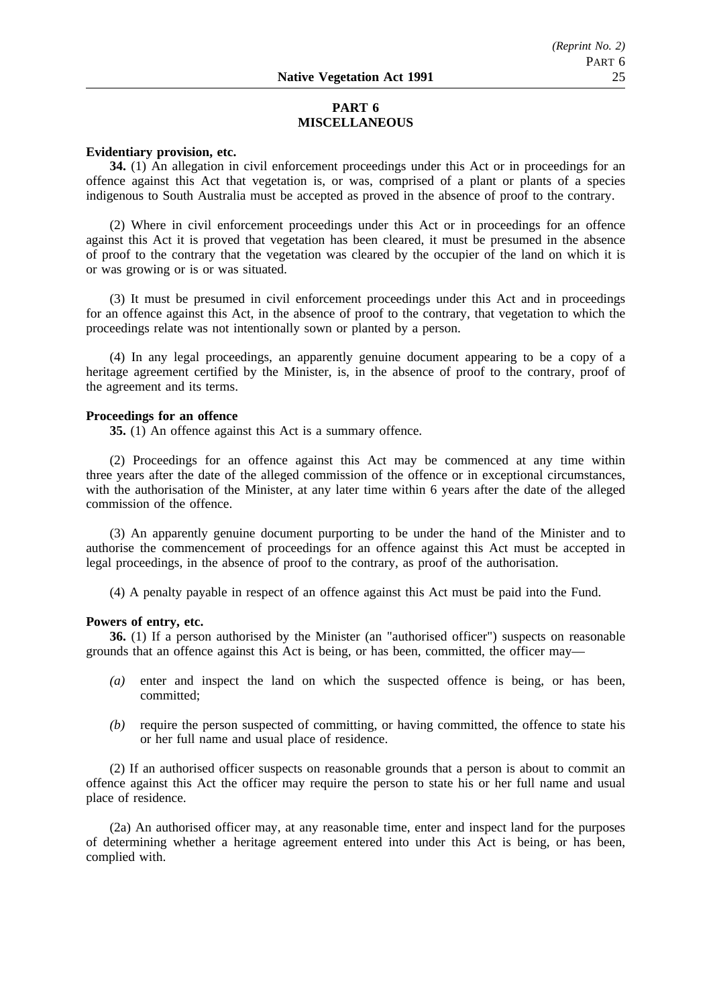## **PART 6 MISCELLANEOUS**

### **Evidentiary provision, etc.**

**34.** (1) An allegation in civil enforcement proceedings under this Act or in proceedings for an offence against this Act that vegetation is, or was, comprised of a plant or plants of a species indigenous to South Australia must be accepted as proved in the absence of proof to the contrary.

(2) Where in civil enforcement proceedings under this Act or in proceedings for an offence against this Act it is proved that vegetation has been cleared, it must be presumed in the absence of proof to the contrary that the vegetation was cleared by the occupier of the land on which it is or was growing or is or was situated.

(3) It must be presumed in civil enforcement proceedings under this Act and in proceedings for an offence against this Act, in the absence of proof to the contrary, that vegetation to which the proceedings relate was not intentionally sown or planted by a person.

(4) In any legal proceedings, an apparently genuine document appearing to be a copy of a heritage agreement certified by the Minister, is, in the absence of proof to the contrary, proof of the agreement and its terms.

## **Proceedings for an offence**

**35.** (1) An offence against this Act is a summary offence.

(2) Proceedings for an offence against this Act may be commenced at any time within three years after the date of the alleged commission of the offence or in exceptional circumstances, with the authorisation of the Minister, at any later time within 6 years after the date of the alleged commission of the offence.

(3) An apparently genuine document purporting to be under the hand of the Minister and to authorise the commencement of proceedings for an offence against this Act must be accepted in legal proceedings, in the absence of proof to the contrary, as proof of the authorisation.

(4) A penalty payable in respect of an offence against this Act must be paid into the Fund.

### **Powers of entry, etc.**

**36.** (1) If a person authorised by the Minister (an "authorised officer") suspects on reasonable grounds that an offence against this Act is being, or has been, committed, the officer may—

- *(a)* enter and inspect the land on which the suspected offence is being, or has been, committed;
- *(b)* require the person suspected of committing, or having committed, the offence to state his or her full name and usual place of residence.

(2) If an authorised officer suspects on reasonable grounds that a person is about to commit an offence against this Act the officer may require the person to state his or her full name and usual place of residence.

(2a) An authorised officer may, at any reasonable time, enter and inspect land for the purposes of determining whether a heritage agreement entered into under this Act is being, or has been, complied with.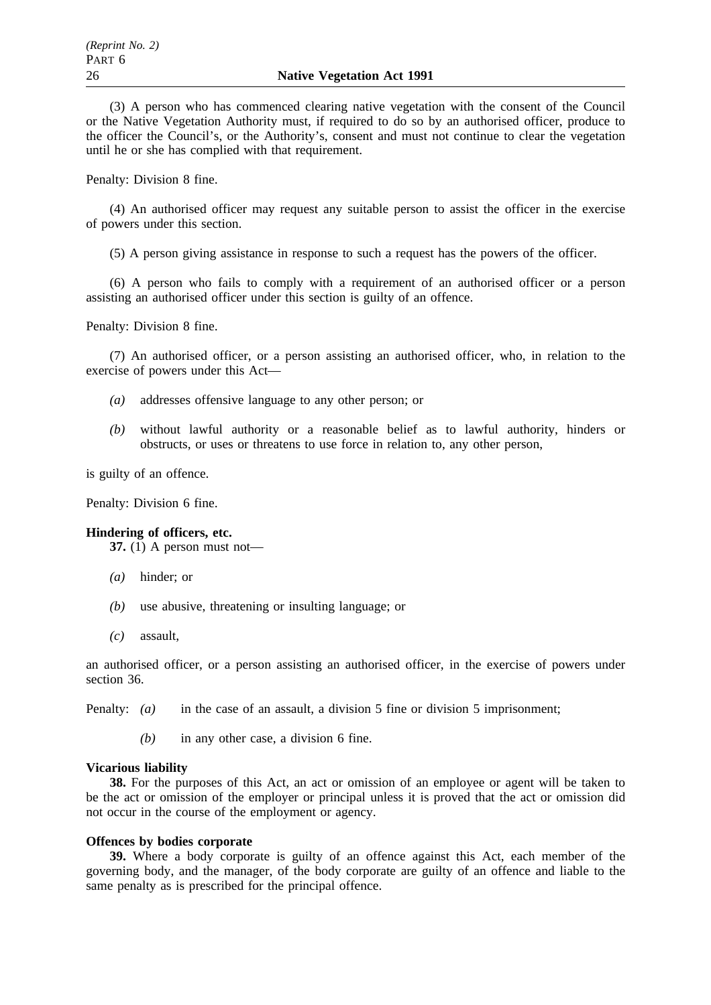(3) A person who has commenced clearing native vegetation with the consent of the Council or the Native Vegetation Authority must, if required to do so by an authorised officer, produce to the officer the Council's, or the Authority's, consent and must not continue to clear the vegetation until he or she has complied with that requirement.

Penalty: Division 8 fine.

(4) An authorised officer may request any suitable person to assist the officer in the exercise of powers under this section.

(5) A person giving assistance in response to such a request has the powers of the officer.

(6) A person who fails to comply with a requirement of an authorised officer or a person assisting an authorised officer under this section is guilty of an offence.

Penalty: Division 8 fine.

(7) An authorised officer, or a person assisting an authorised officer, who, in relation to the exercise of powers under this Act—

- *(a)* addresses offensive language to any other person; or
- *(b)* without lawful authority or a reasonable belief as to lawful authority, hinders or obstructs, or uses or threatens to use force in relation to, any other person,

is guilty of an offence.

Penalty: Division 6 fine.

#### **Hindering of officers, etc.**

**37.** (1) A person must not—

- *(a)* hinder; or
- *(b)* use abusive, threatening or insulting language; or
- *(c)* assault,

an authorised officer, or a person assisting an authorised officer, in the exercise of powers under section 36.

Penalty: *(a)* in the case of an assault, a division 5 fine or division 5 imprisonment;

*(b)* in any other case, a division 6 fine.

#### **Vicarious liability**

**38.** For the purposes of this Act, an act or omission of an employee or agent will be taken to be the act or omission of the employer or principal unless it is proved that the act or omission did not occur in the course of the employment or agency.

### **Offences by bodies corporate**

**39.** Where a body corporate is guilty of an offence against this Act, each member of the governing body, and the manager, of the body corporate are guilty of an offence and liable to the same penalty as is prescribed for the principal offence.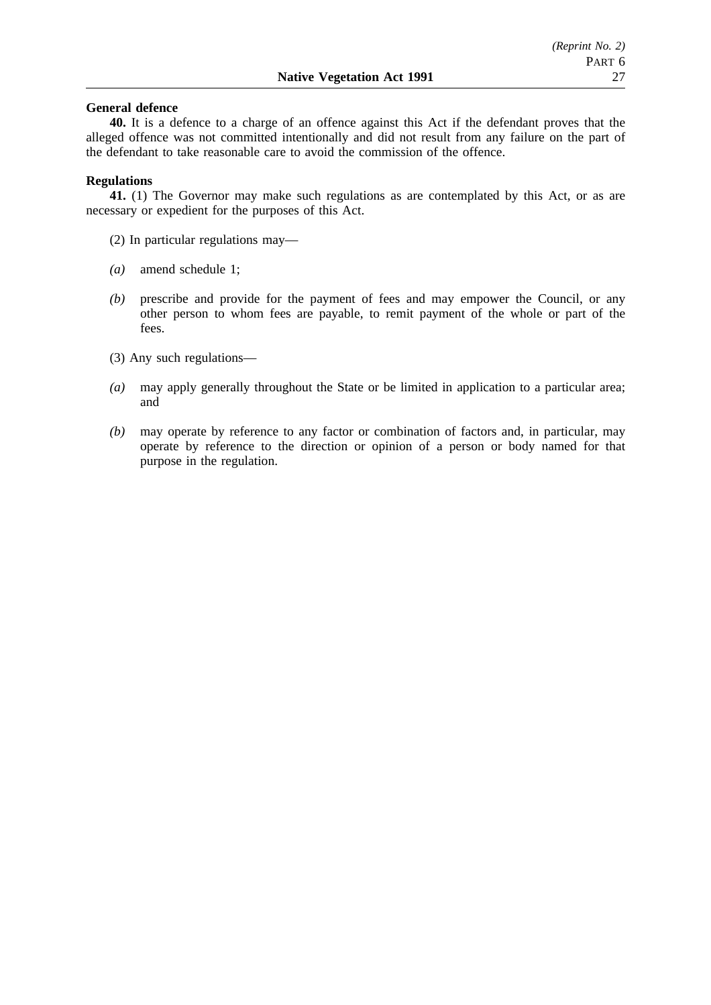### **General defence**

**40.** It is a defence to a charge of an offence against this Act if the defendant proves that the alleged offence was not committed intentionally and did not result from any failure on the part of the defendant to take reasonable care to avoid the commission of the offence.

### **Regulations**

**41.** (1) The Governor may make such regulations as are contemplated by this Act, or as are necessary or expedient for the purposes of this Act.

(2) In particular regulations may—

- *(a)* amend schedule 1;
- *(b)* prescribe and provide for the payment of fees and may empower the Council, or any other person to whom fees are payable, to remit payment of the whole or part of the fees.
- (3) Any such regulations—
- *(a)* may apply generally throughout the State or be limited in application to a particular area; and
- *(b)* may operate by reference to any factor or combination of factors and, in particular, may operate by reference to the direction or opinion of a person or body named for that purpose in the regulation.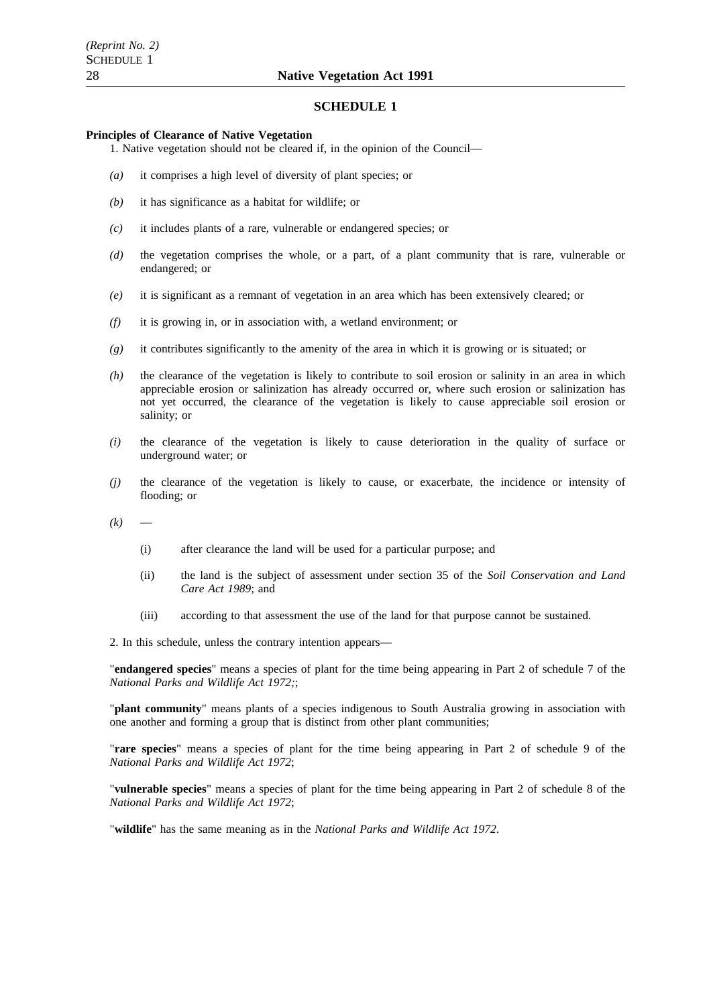#### **SCHEDULE 1**

#### **Principles of Clearance of Native Vegetation**

- 1. Native vegetation should not be cleared if, in the opinion of the Council—
- *(a)* it comprises a high level of diversity of plant species; or
- *(b)* it has significance as a habitat for wildlife; or
- *(c)* it includes plants of a rare, vulnerable or endangered species; or
- *(d)* the vegetation comprises the whole, or a part, of a plant community that is rare, vulnerable or endangered; or
- *(e)* it is significant as a remnant of vegetation in an area which has been extensively cleared; or
- *(f)* it is growing in, or in association with, a wetland environment; or
- *(g)* it contributes significantly to the amenity of the area in which it is growing or is situated; or
- *(h)* the clearance of the vegetation is likely to contribute to soil erosion or salinity in an area in which appreciable erosion or salinization has already occurred or, where such erosion or salinization has not yet occurred, the clearance of the vegetation is likely to cause appreciable soil erosion or salinity; or
- *(i)* the clearance of the vegetation is likely to cause deterioration in the quality of surface or underground water; or
- *(j)* the clearance of the vegetation is likely to cause, or exacerbate, the incidence or intensity of flooding; or
- $(k)$ 
	- (i) after clearance the land will be used for a particular purpose; and
	- (ii) the land is the subject of assessment under section 35 of the *Soil Conservation and Land Care Act 1989*; and
	- (iii) according to that assessment the use of the land for that purpose cannot be sustained.

2. In this schedule, unless the contrary intention appears—

"**endangered species**" means a species of plant for the time being appearing in Part 2 of schedule 7 of the *National Parks and Wildlife Act 1972;*;

"**plant community**" means plants of a species indigenous to South Australia growing in association with one another and forming a group that is distinct from other plant communities;

"**rare species**" means a species of plant for the time being appearing in Part 2 of schedule 9 of the *National Parks and Wildlife Act 1972*;

"**vulnerable species**" means a species of plant for the time being appearing in Part 2 of schedule 8 of the *National Parks and Wildlife Act 1972*;

"**wildlife**" has the same meaning as in the *National Parks and Wildlife Act 1972*.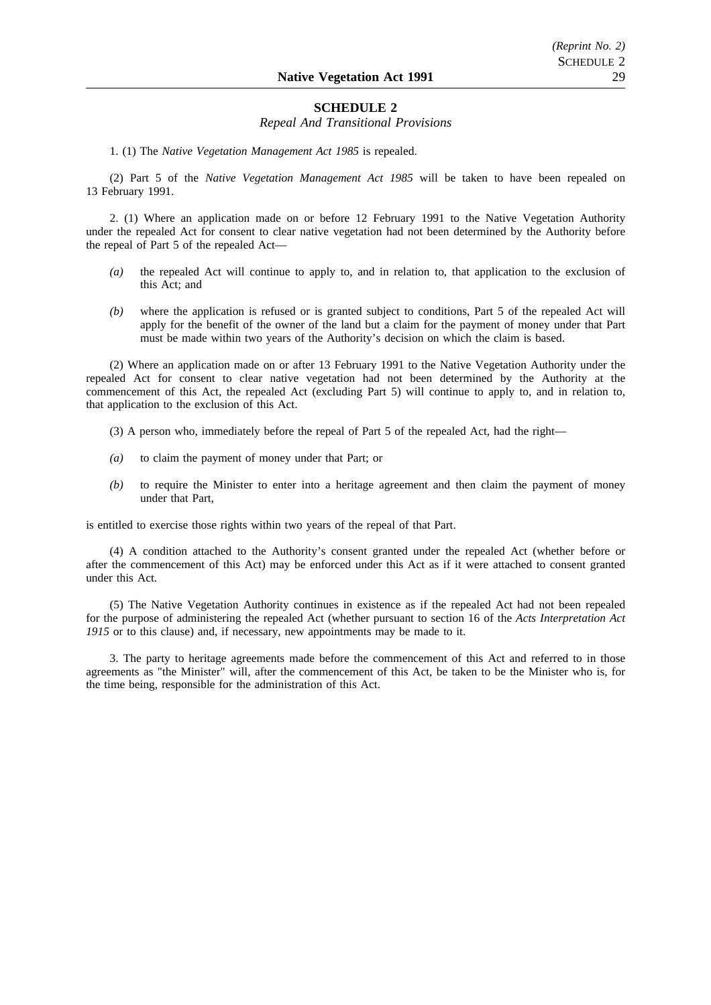### **SCHEDULE 2**

*Repeal And Transitional Provisions*

1. (1) The *Native Vegetation Management Act 1985* is repealed.

(2) Part 5 of the *Native Vegetation Management Act 1985* will be taken to have been repealed on 13 February 1991.

2. (1) Where an application made on or before 12 February 1991 to the Native Vegetation Authority under the repealed Act for consent to clear native vegetation had not been determined by the Authority before the repeal of Part 5 of the repealed Act—

- *(a)* the repealed Act will continue to apply to, and in relation to, that application to the exclusion of this Act; and
- *(b)* where the application is refused or is granted subject to conditions, Part 5 of the repealed Act will apply for the benefit of the owner of the land but a claim for the payment of money under that Part must be made within two years of the Authority's decision on which the claim is based.

(2) Where an application made on or after 13 February 1991 to the Native Vegetation Authority under the repealed Act for consent to clear native vegetation had not been determined by the Authority at the commencement of this Act, the repealed Act (excluding Part 5) will continue to apply to, and in relation to, that application to the exclusion of this Act.

- (3) A person who, immediately before the repeal of Part 5 of the repealed Act, had the right—
- *(a)* to claim the payment of money under that Part; or
- *(b)* to require the Minister to enter into a heritage agreement and then claim the payment of money under that Part,

is entitled to exercise those rights within two years of the repeal of that Part.

(4) A condition attached to the Authority's consent granted under the repealed Act (whether before or after the commencement of this Act) may be enforced under this Act as if it were attached to consent granted under this Act.

(5) The Native Vegetation Authority continues in existence as if the repealed Act had not been repealed for the purpose of administering the repealed Act (whether pursuant to section 16 of the *Acts Interpretation Act* 1915 or to this clause) and, if necessary, new appointments may be made to it.

3. The party to heritage agreements made before the commencement of this Act and referred to in those agreements as "the Minister" will, after the commencement of this Act, be taken to be the Minister who is, for the time being, responsible for the administration of this Act.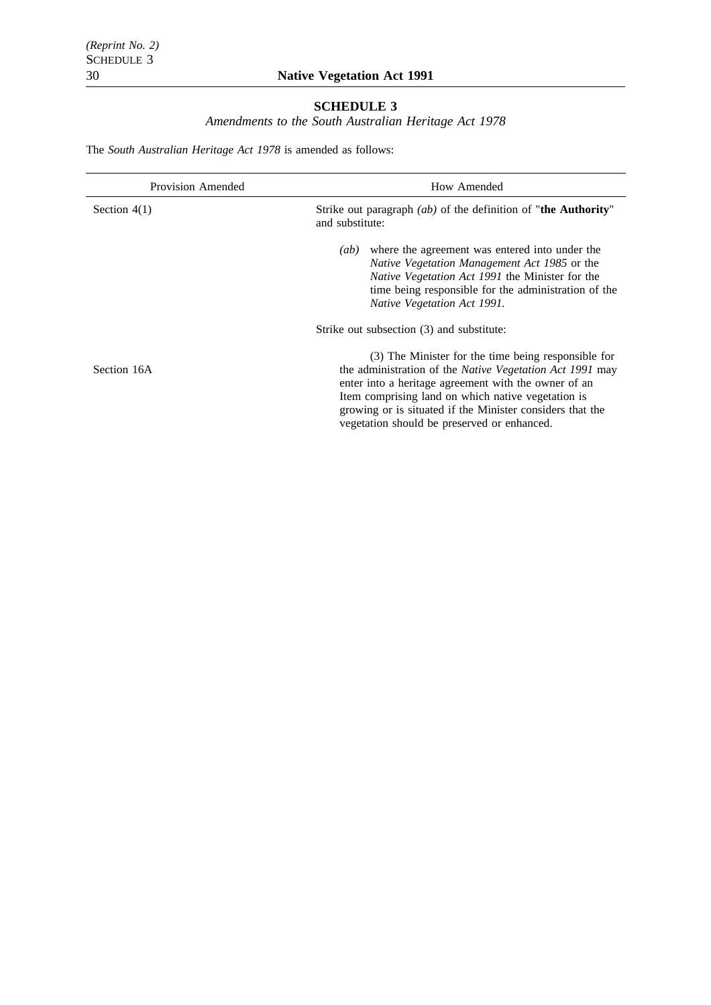# **SCHEDULE 3**

*Amendments to the South Australian Heritage Act 1978*

The *South Australian Heritage Act 1978* is amended as follows:

| <b>Provision Amended</b> | How Amended                                                                                                                                                                                                                                                                                                                                      |  |  |
|--------------------------|--------------------------------------------------------------------------------------------------------------------------------------------------------------------------------------------------------------------------------------------------------------------------------------------------------------------------------------------------|--|--|
| Section $4(1)$           | Strike out paragraph $(ab)$ of the definition of "the Authority"<br>and substitute:                                                                                                                                                                                                                                                              |  |  |
|                          | where the agreement was entered into under the<br>(ab)<br><i>Native Vegetation Management Act 1985</i> or the<br><i>Native Vegetation Act 1991</i> the Minister for the<br>time being responsible for the administration of the<br>Native Vegetation Act 1991.                                                                                   |  |  |
|                          | Strike out subsection (3) and substitute:                                                                                                                                                                                                                                                                                                        |  |  |
| Section 16A              | (3) The Minister for the time being responsible for<br>the administration of the <i>Native Vegetation Act 1991</i> may<br>enter into a heritage agreement with the owner of an<br>Item comprising land on which native vegetation is<br>growing or is situated if the Minister considers that the<br>vegetation should be preserved or enhanced. |  |  |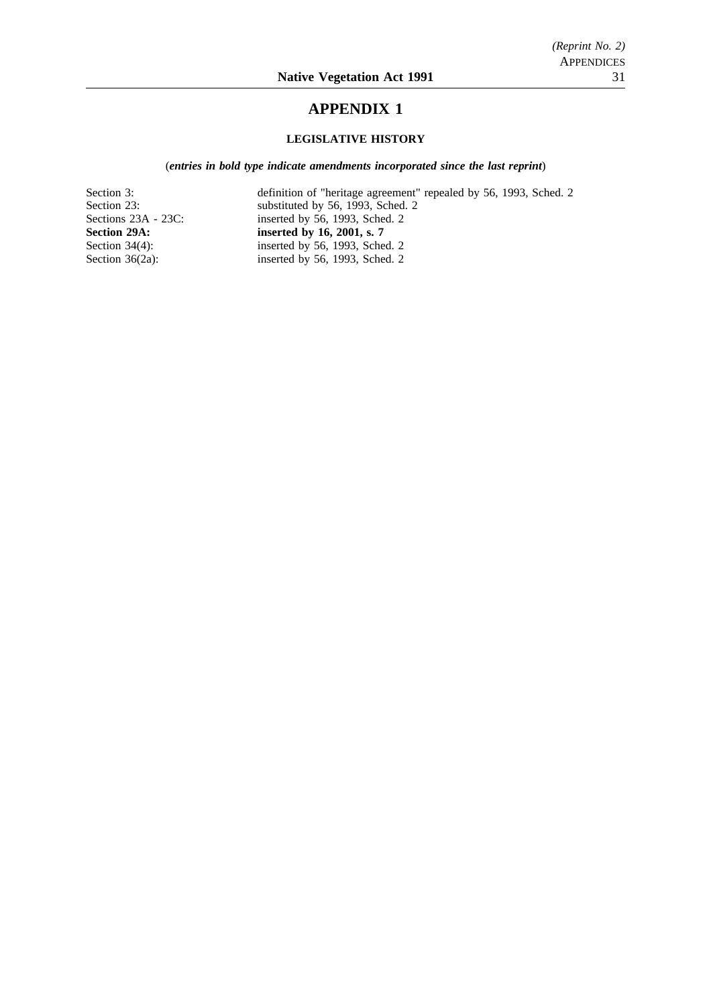## **APPENDIX 1**

## **LEGISLATIVE HISTORY**

## (*entries in bold type indicate amendments incorporated since the last reprint*)

Section 3: definition of "heritage agreement" repealed by 56, 1993, Sched. 2<br>Section 23: substituted by 56, 1993, Sched. 2 Section 23: substituted by 56, 1993, Sched. 2<br>Sections 23A - 23C: inserted by 56, 1993, Sched. 2 Sections 23A - 23C: inserted by 56, 1993, Sched. 2<br>Section 29A: inserted by 16, 2001, s. 7 **Section 29A: inserted by 16, 2001, s. 7**<br>Section 34(4): **inserted by 56, 1993, Sche** Section 34(4): inserted by 56, 1993, Sched. 2<br>Section 36(2a): inserted by 56, 1993, Sched. 2 inserted by 56, 1993, Sched.  $2$